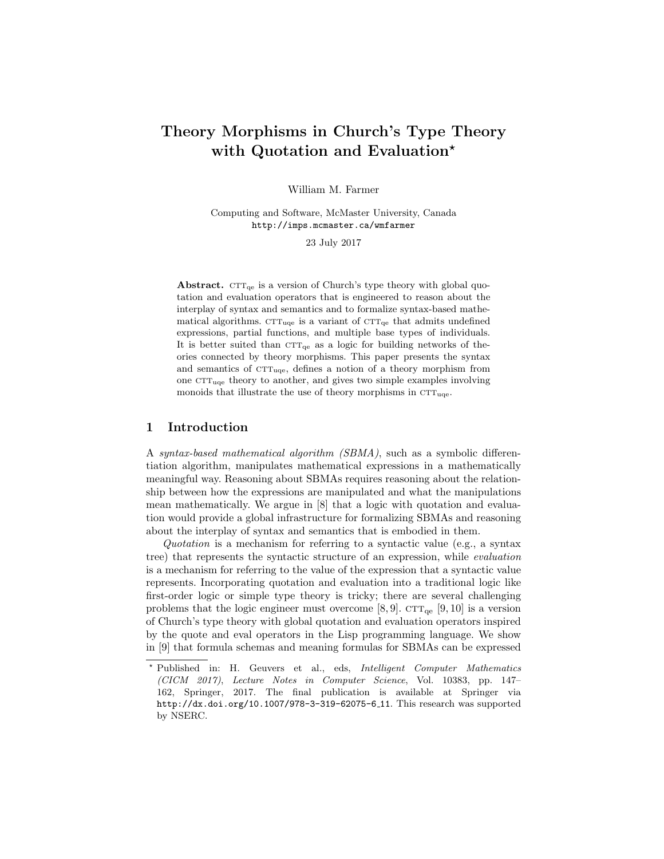# Theory Morphisms in Church's Type Theory with Quotation and Evaluation<sup>\*</sup>

William M. Farmer

Computing and Software, McMaster University, Canada http://imps.mcmaster.ca/wmfarmer

23 July 2017

Abstract.  $CTT_{qe}$  is a version of Church's type theory with global quotation and evaluation operators that is engineered to reason about the interplay of syntax and semantics and to formalize syntax-based mathematical algorithms.  $\text{CTT}_{\text{uqe}}$  is a variant of  $\text{CTT}_{\text{qe}}$  that admits undefined expressions, partial functions, and multiple base types of individuals. It is better suited than  $CTT_{qe}$  as a logic for building networks of theories connected by theory morphisms. This paper presents the syntax and semantics of  $CTT_{uqe}$ , defines a notion of a theory morphism from one  $CTT_{\text{uge}}$  theory to another, and gives two simple examples involving monoids that illustrate the use of theory morphisms in  $\text{CTT}_{\text{uqe}}$ .

# 1 Introduction

A syntax-based mathematical algorithm (SBMA), such as a symbolic differentiation algorithm, manipulates mathematical expressions in a mathematically meaningful way. Reasoning about SBMAs requires reasoning about the relationship between how the expressions are manipulated and what the manipulations mean mathematically. We argue in [8] that a logic with quotation and evaluation would provide a global infrastructure for formalizing SBMAs and reasoning about the interplay of syntax and semantics that is embodied in them.

Quotation is a mechanism for referring to a syntactic value (e.g., a syntax tree) that represents the syntactic structure of an expression, while evaluation is a mechanism for referring to the value of the expression that a syntactic value represents. Incorporating quotation and evaluation into a traditional logic like first-order logic or simple type theory is tricky; there are several challenging problems that the logic engineer must overcome [8, 9].  $CTT_{qe}$  [9, 10] is a version of Church's type theory with global quotation and evaluation operators inspired by the quote and eval operators in the Lisp programming language. We show in [9] that formula schemas and meaning formulas for SBMAs can be expressed

<sup>?</sup> Published in: H. Geuvers et al., eds, Intelligent Computer Mathematics (CICM 2017), Lecture Notes in Computer Science, Vol. 10383, pp. 147– 162, Springer, 2017. The final publication is available at Springer via http://dx.doi.org/10.1007/978-3-319-62075-6 11. This research was supported by NSERC.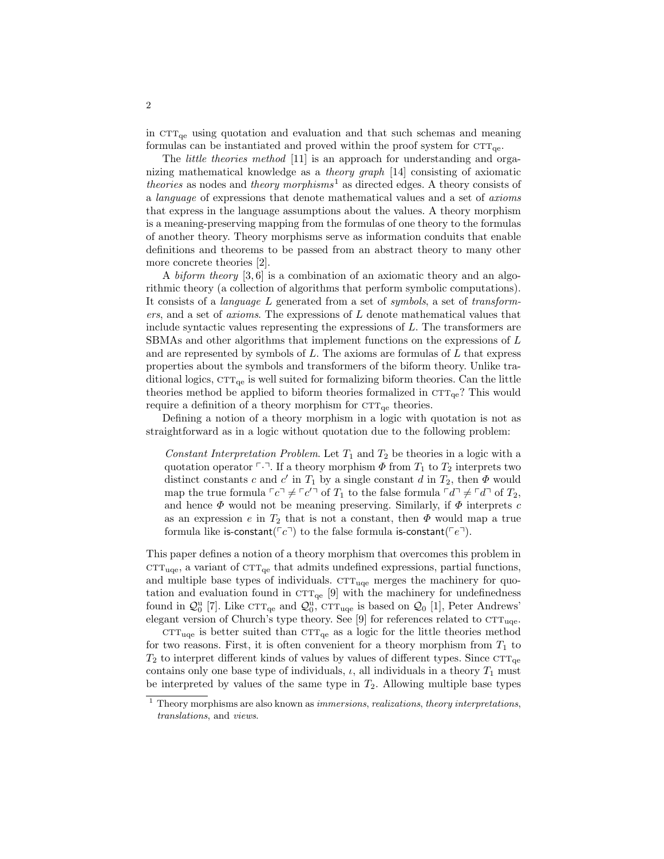in  $\text{CTT}_{\text{qe}}$  using quotation and evaluation and that such schemas and meaning formulas can be instantiated and proved within the proof system for  $\textsc{ctr}_{\textsc{qe}}.$ 

The *little theories method* [11] is an approach for understanding and organizing mathematical knowledge as a theory graph [14] consisting of axiomatic theories as nodes and theory morphisms<sup>1</sup> as directed edges. A theory consists of a language of expressions that denote mathematical values and a set of axioms that express in the language assumptions about the values. A theory morphism is a meaning-preserving mapping from the formulas of one theory to the formulas of another theory. Theory morphisms serve as information conduits that enable definitions and theorems to be passed from an abstract theory to many other more concrete theories [2].

A biform theory [3, 6] is a combination of an axiomatic theory and an algorithmic theory (a collection of algorithms that perform symbolic computations). It consists of a language L generated from a set of symbols, a set of transformers, and a set of axioms. The expressions of L denote mathematical values that include syntactic values representing the expressions of L. The transformers are SBMAs and other algorithms that implement functions on the expressions of L and are represented by symbols of  $L$ . The axioms are formulas of  $L$  that express properties about the symbols and transformers of the biform theory. Unlike traditional logics,  $CTT_{qe}$  is well suited for formalizing biform theories. Can the little theories method be applied to biform theories formalized in  $\text{CTT}_{\text{qe}}$ ? This would require a definition of a theory morphism for  $\text{CTT}_{\text{qe}}$  theories.

Defining a notion of a theory morphism in a logic with quotation is not as straightforward as in a logic without quotation due to the following problem:

Constant Interpretation Problem. Let  $T_1$  and  $T_2$  be theories in a logic with a quotation operator  $\lceil \cdot \rceil$ . If a theory morphism  $\Phi$  from  $T_1$  to  $T_2$  interprets two distinct constants c and c' in  $T_1$  by a single constant d in  $T_2$ , then  $\Phi$  would map the true formula  $\lceil c \rceil \neq \lceil c' \rceil$  of  $T_1$  to the false formula  $\lceil d \rceil \neq \lceil d \rceil$  of  $T_2$ , and hence  $\Phi$  would not be meaning preserving. Similarly, if  $\Phi$  interprets c as an expression e in  $T_2$  that is not a constant, then  $\Phi$  would map a true formula like is-constant( $\lceil c \rceil$ ) to the false formula is-constant( $\lceil e \rceil$ ).

This paper defines a notion of a theory morphism that overcomes this problem in  $\text{CTT}_{\text{uqe}}$ , a variant of  $\text{CTT}_{\text{qe}}$  that admits undefined expressions, partial functions, and multiple base types of individuals.  $CTT_{uqe}$  merges the machinery for quotation and evaluation found in  $CTT_{qe}$  [9] with the machinery for undefinedness found in  $\mathcal{Q}_0^{\mathrm{u}}$  [7]. Like  $\mathrm{CTT}_{\mathrm{qe}}$  and  $\mathcal{Q}_0^{\mathrm{u}}$ ,  $\mathrm{CTT}_{\mathrm{uqe}}$  is based on  $\mathcal{Q}_0$  [1], Peter Andrews' elegant version of Church's type theory. See [9] for references related to  $CTT_{uqe}$ .

 $\text{CTT}_{\text{uqe}}$  is better suited than  $\text{CTT}_{\text{qe}}$  as a logic for the little theories method for two reasons. First, it is often convenient for a theory morphism from  $T_1$  to  $T_2$  to interpret different kinds of values by values of different types. Since  $CTT_{qe}$ contains only one base type of individuals,  $\iota$ , all individuals in a theory  $T_1$  must be interpreted by values of the same type in  $T_2$ . Allowing multiple base types

 $^{\rm 1}$  Theory morphisms are also known as *immersions, realizations, theory interpretations,* translations, and views.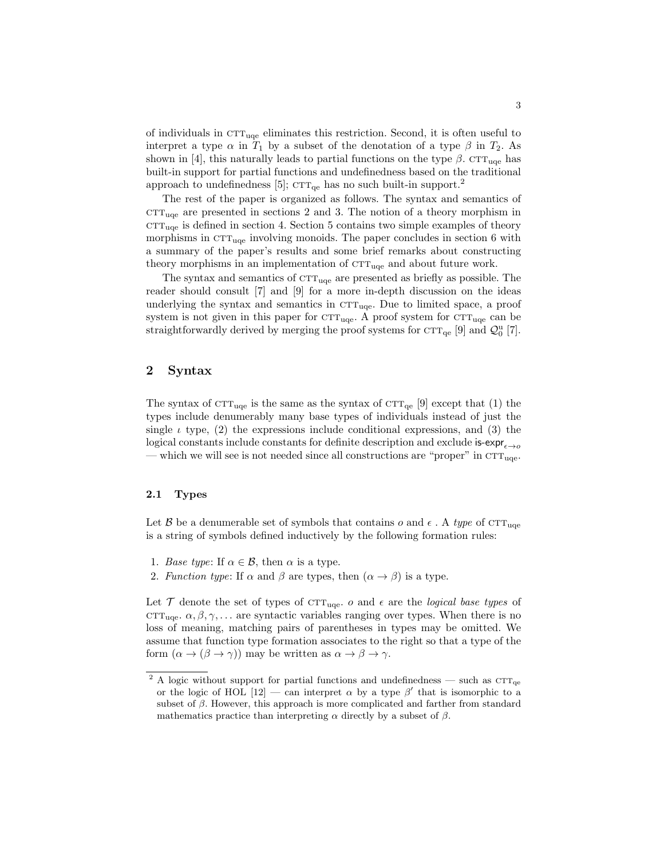of individuals in  $CT_{\text{uqe}}$  eliminates this restriction. Second, it is often useful to interpret a type  $\alpha$  in  $T_1$  by a subset of the denotation of a type  $\beta$  in  $T_2$ . As shown in [4], this naturally leads to partial functions on the type  $\beta$ . CTT<sub>uqe</sub> has built-in support for partial functions and undefinedness based on the traditional approach to undefinedness [5];  $CTT_{qe}$  has no such built-in support.<sup>2</sup>

The rest of the paper is organized as follows. The syntax and semantics of  $CTT_{uqe}$  are presented in sections 2 and 3. The notion of a theory morphism in  $CTT_{uqe}$  is defined in section 4. Section 5 contains two simple examples of theory morphisms in  $\text{CTT}_{\text{uqe}}$  involving monoids. The paper concludes in section 6 with a summary of the paper's results and some brief remarks about constructing theory morphisms in an implementation of  $\text{CTT}_{\text{uqe}}$  and about future work.

The syntax and semantics of  $\text{CTT}_{\text{uqe}}$  are presented as briefly as possible. The reader should consult [7] and [9] for a more in-depth discussion on the ideas underlying the syntax and semantics in  $CTT_{uqe}$ . Due to limited space, a proof system is not given in this paper for  $\text{CTT}_{\text{uce}}$ . A proof system for  $\text{CTT}_{\text{uce}}$  can be straightforwardly derived by merging the proof systems for  $\text{CTT}_{\text{qe}}$  [9] and  $\mathcal{Q}_0^{\text{u}}$  [7].

# 2 Syntax

The syntax of  $\text{CTT}_{\text{uqe}}$  is the same as the syntax of  $\text{CTT}_{\text{qe}}$  [9] except that (1) the types include denumerably many base types of individuals instead of just the single  $\iota$  type, (2) the expressions include conditional expressions, and (3) the logical constants include constants for definite description and exclude is-expr $\epsilon \rightarrow 0$ — which we will see is not needed since all constructions are "proper" in  $\text{CTT}_{\text{uce}}$ .

## 2.1 Types

Let B be a denumerable set of symbols that contains o and  $\epsilon$ . A type of CTT<sub>uge</sub> is a string of symbols defined inductively by the following formation rules:

- 1. Base type: If  $\alpha \in \mathcal{B}$ , then  $\alpha$  is a type.
- 2. Function type: If  $\alpha$  and  $\beta$  are types, then  $(\alpha \rightarrow \beta)$  is a type.

Let  $\mathcal T$  denote the set of types of CTT<sub>uqe</sub>. o and  $\epsilon$  are the *logical base types* of ctr<sub>uge</sub>.  $\alpha, \beta, \gamma, \ldots$  are syntactic variables ranging over types. When there is no loss of meaning, matching pairs of parentheses in types may be omitted. We assume that function type formation associates to the right so that a type of the form  $(\alpha \to (\beta \to \gamma))$  may be written as  $\alpha \to \beta \to \gamma$ .

 $^2$  A logic without support for partial functions and undefinedness — such as  $\textsc{ctr}_{\textrm{qe}}$ or the logic of HOL [12] – can interpret  $\alpha$  by a type  $\beta'$  that is isomorphic to a subset of  $\beta$ . However, this approach is more complicated and farther from standard mathematics practice than interpreting  $\alpha$  directly by a subset of  $\beta$ .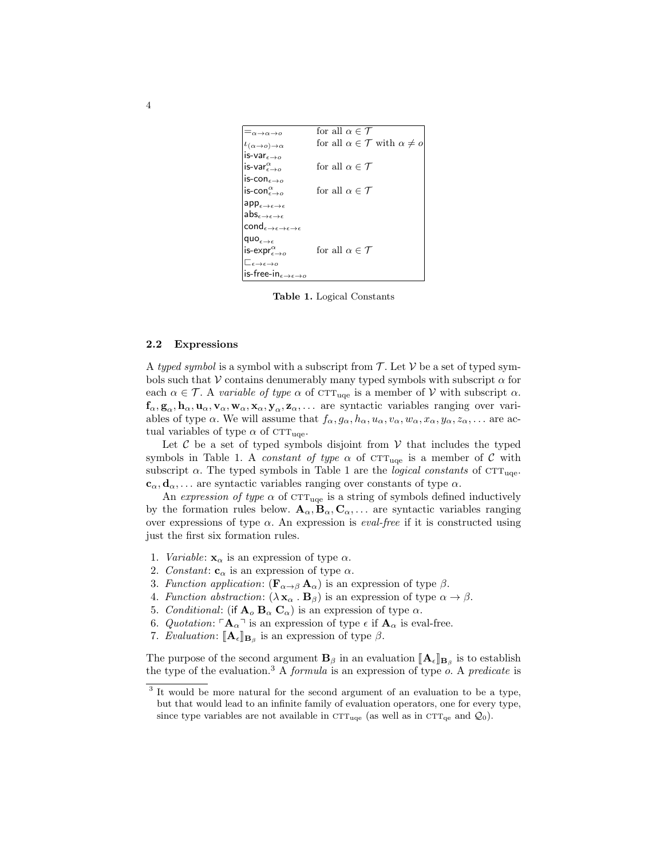| $=_{\alpha\to\alpha\to o}$                                  | for all $\alpha \in \mathcal{T}$                      |
|-------------------------------------------------------------|-------------------------------------------------------|
| $\iota_{(\alpha\to o)\to\alpha}$                            | for all $\alpha \in \mathcal{T}$ with $\alpha \neq o$ |
| is-var $_{\epsilon\rightarrow o}$                           |                                                       |
| is-var $_{\epsilon\rightarrow o}^{\alpha}$                  | for all $\alpha \in \mathcal{T}$                      |
| is-con $_{\epsilon\rightarrow o}$                           |                                                       |
| is-con $_{\epsilon\rightarrow o}^{\alpha}$                  | for all $\alpha \in \mathcal{T}$                      |
| $\mathsf{app}_{\epsilon\to\epsilon\to\epsilon}$             |                                                       |
| $\mathsf{abs}_{\epsilon \to \epsilon \to \epsilon}$         |                                                       |
| $\mathsf{cond}_{\epsilon\to\epsilon\to\epsilon\to\epsilon}$ |                                                       |
| quo $_{\epsilon\rightarrow\epsilon}$                        |                                                       |
| is-expr $_{\epsilon\rightarrow o}^{\alpha}$                 | for all $\alpha \in \mathcal{T}$                      |
| $\sqsubset_{\epsilon\to\epsilon\to o}$                      |                                                       |
| is-free-in $_{\epsilon\rightarrow \epsilon\rightarrow o}$   |                                                       |

Table 1. Logical Constants

#### 2.2 Expressions

A typed symbol is a symbol with a subscript from  $\mathcal{T}$ . Let  $\mathcal V$  be a set of typed symbols such that V contains denumerably many typed symbols with subscript  $\alpha$  for each  $\alpha \in \mathcal{T}$ . A variable of type  $\alpha$  of  $\text{CTT}_{\text{uqe}}$  is a member of  $\mathcal V$  with subscript  $\alpha$ .  $f_{\alpha}, g_{\alpha}, h_{\alpha}, u_{\alpha}, v_{\alpha}, w_{\alpha}, x_{\alpha}, y_{\alpha}, z_{\alpha}, \ldots$  are syntactic variables ranging over variables of type  $\alpha$ . We will assume that  $f_{\alpha}, g_{\alpha}, h_{\alpha}, u_{\alpha}, v_{\alpha}, w_{\alpha}, x_{\alpha}, y_{\alpha}, z_{\alpha}, \dots$  are actual variables of type  $\alpha$  of CTT<sub>uqe</sub>.

Let  ${\mathcal C}$  be a set of typed symbols disjoint from  ${\mathcal V}$  that includes the typed symbols in Table 1. A *constant of type*  $\alpha$  of  $CTT_{uqe}$  is a member of  $\mathcal C$  with subscript  $\alpha$ . The typed symbols in Table 1 are the *logical constants* of  $\text{CTT}_{\text{uqe}}$ .  $c_{\alpha}, d_{\alpha}, \ldots$  are syntactic variables ranging over constants of type  $\alpha$ .

An expression of type  $\alpha$  of CTT<sub>uqe</sub> is a string of symbols defined inductively by the formation rules below.  $\mathbf{A}_{\alpha}, \mathbf{B}_{\alpha}, \mathbf{C}_{\alpha}, \dots$  are syntactic variables ranging over expressions of type  $\alpha$ . An expression is *eval-free* if it is constructed using just the first six formation rules.

- 1. *Variable:*  $\mathbf{x}_{\alpha}$  is an expression of type  $\alpha$ .
- 2. Constant:  $\mathbf{c}_{\alpha}$  is an expression of type  $\alpha$ .
- 3. Function application:  $(\mathbf{F}_{\alpha \to \beta} \mathbf{A}_{\alpha})$  is an expression of type  $\beta$ .
- 4. Function abstraction:  $(\lambda \mathbf{x}_{\alpha} \cdot \mathbf{B}_{\beta})$  is an expression of type  $\alpha \rightarrow \beta$ .
- 5. Conditional: (if  $\mathbf{A}_{o}$   $\mathbf{B}_{\alpha}$   $\mathbf{C}_{\alpha}$ ) is an expression of type  $\alpha$ .
- 6. Quotation:  $\mathbf{A}_{\alpha}$ <sup> $\top$ </sup> is an expression of type  $\epsilon$  if  $\mathbf{A}_{\alpha}$  is eval-free.
- 7. Evaluation:  $[\![\mathbf{A}_{\epsilon}]\!]_{\mathbf{B}_{\beta}}$  is an expression of type  $\beta$ .

The purpose of the second argument  $\mathbf{B}_{\beta}$  in an evaluation  $[\mathbf{A}_{\epsilon}]\mathbf{B}_{\beta}$  is to establish the type of the evaluation  $^{3}$  A formula is an expression of type a A producte is the type of the evaluation.<sup>3</sup> A *formula* is an expression of type  $\overline{o}$ . A *predicate* is

<sup>&</sup>lt;sup>3</sup> It would be more natural for the second argument of an evaluation to be a type, but that would lead to an infinite family of evaluation operators, one for every type, since type variables are not available in  $\text{CTT}_{\text{uqe}}$  (as well as in  $\text{CTT}_{\text{qe}}$  and  $\mathcal{Q}_0$ ).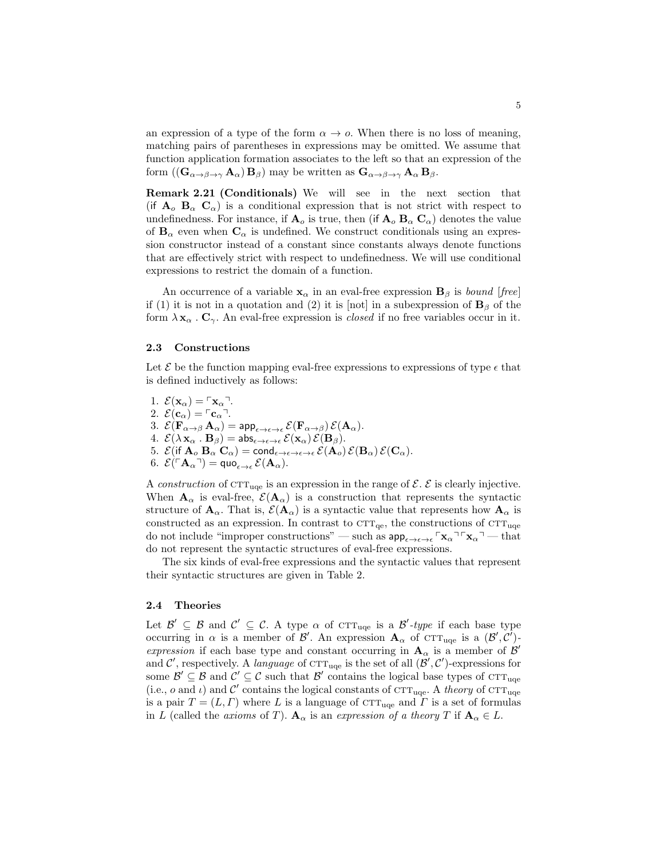an expression of a type of the form  $\alpha \to o$ . When there is no loss of meaning, matching pairs of parentheses in expressions may be omitted. We assume that function application formation associates to the left so that an expression of the form  $((\mathbf{G}_{\alpha \to \beta \to \gamma} \mathbf{A}_{\alpha}) \mathbf{B}_{\beta})$  may be written as  $\mathbf{G}_{\alpha \to \beta \to \gamma} \mathbf{A}_{\alpha} \mathbf{B}_{\beta}$ .

Remark 2.21 (Conditionals) We will see in the next section that (if  $A_0$   $B_\alpha$   $C_\alpha$ ) is a conditional expression that is not strict with respect to undefinedness. For instance, if  $\mathbf{A}_o$  is true, then (if  $\mathbf{A}_o$   $\mathbf{B}_\alpha$   $\mathbf{C}_\alpha$ ) denotes the value of  $B_{\alpha}$  even when  $C_{\alpha}$  is undefined. We construct conditionals using an expression constructor instead of a constant since constants always denote functions that are effectively strict with respect to undefinedness. We will use conditional expressions to restrict the domain of a function.

An occurrence of a variable  $\mathbf{x}_{\alpha}$  in an eval-free expression  $\mathbf{B}_{\beta}$  is bound [free] if (1) it is not in a quotation and (2) it is [not] in a subexpression of  $\mathbf{B}_{\beta}$  of the form  $\lambda \mathbf{x}_{\alpha}$ .  $\mathbf{C}_{\gamma}$ . An eval-free expression is *closed* if no free variables occur in it.

## 2.3 Constructions

Let  $\mathcal E$  be the function mapping eval-free expressions to expressions of type  $\epsilon$  that is defined inductively as follows:

1.  $\mathcal{E}(\mathbf{x}_{\alpha}) = \begin{bmatrix} x_{\alpha} \end{bmatrix}$ . 2.  $\mathcal{E}(\mathbf{c}_{\alpha}) = \ulcorner \mathbf{c}_{\alpha} \urcorner$ . 3.  $\mathcal{E}(\mathbf{F}_{\alpha \to \beta} \mathbf{A}_{\alpha}) = \text{app}_{\epsilon \to \epsilon \to \epsilon} \mathcal{E}(\mathbf{F}_{\alpha \to \beta}) \mathcal{E}(\mathbf{A}_{\alpha}).$ 4.  $\mathcal{E}(\lambda \mathbf{x}_{\alpha} \cdot \mathbf{B}_{\beta}) = \mathsf{abs}_{\epsilon \to \epsilon \to \epsilon} \mathcal{E}(\mathbf{x}_{\alpha}) \mathcal{E}(\mathbf{B}_{\beta}).$ 5.  $\mathcal{E}(\text{if } \overline{\mathbf{A}}_o \mathbf{B}_\alpha \mathbf{C}_\alpha) = \text{cond}_{\epsilon \to \epsilon \to \epsilon \to \epsilon} \mathcal{E}(\mathbf{A}_o) \mathcal{E}(\mathbf{B}_\alpha) \mathcal{E}(\mathbf{C}_\alpha).$ 6.  $\mathcal{E}(\ulcorner \mathbf{A}_\alpha \urcorner) = \mathsf{quo}_{\epsilon \to \epsilon} \, \mathcal{E}(\mathbf{A}_\alpha).$ 

A construction of  $\text{CTT}_{\text{uqe}}$  is an expression in the range of  $\mathcal{E}$ .  $\mathcal{E}$  is clearly injective. When  $\mathbf{A}_{\alpha}$  is eval-free,  $\mathcal{E}(\mathbf{A}_{\alpha})$  is a construction that represents the syntactic structure of  $A_{\alpha}$ . That is,  $\mathcal{E}(A_{\alpha})$  is a syntactic value that represents how  $A_{\alpha}$  is constructed as an expression. In contrast to  $\text{CTT}_{\text{qe}}$ , the constructions of  $\text{CTT}_{\text{uge}}$ do not include "improper constructions" — such as  $ap_{\epsilon \to \epsilon \to \epsilon} \rceil x_\alpha \rceil \rceil x_\alpha \rceil$  that do not represent the syntactic structures of eval-free expressions.

The six kinds of eval-free expressions and the syntactic values that represent their syntactic structures are given in Table 2.

#### 2.4 Theories

Let  $\mathcal{B}' \subseteq \mathcal{B}$  and  $\mathcal{C}' \subseteq \mathcal{C}$ . A type  $\alpha$  of CTT<sub>uqe</sub> is a  $\mathcal{B}'$ -type if each base type occurring in  $\alpha$  is a member of  $\mathcal{B}'$ . An expression  $\mathbf{A}_{\alpha}$  of  $\mathrm{CTT}_{\text{uqe}}$  is a  $(\mathcal{B}', \mathcal{C}')$ expression if each base type and constant occurring in  $A_{\alpha}$  is a member of  $\beta'$ and C', respectively. A language of  $\text{CTT}_{\text{uqe}}$  is the set of all  $(\mathcal{B}', \mathcal{C}')$ -expressions for some  $\mathcal{B}' \subseteq \mathcal{B}$  and  $\mathcal{C}' \subseteq \mathcal{C}$  such that  $\mathcal{B}'$  contains the logical base types of CTT<sub>uqe</sub> (i.e., o and  $\iota$ ) and C' contains the logical constants of CTT<sub>uqe</sub>. A theory of CTT<sub>uqe</sub> is a pair  $T = (L, \Gamma)$  where L is a language of  $\text{CTT}_{\text{uqe}}$  and  $\Gamma$  is a set of formulas in L (called the axioms of T).  $\mathbf{A}_{\alpha}$  is an expression of a theory T if  $\mathbf{A}_{\alpha} \in L$ .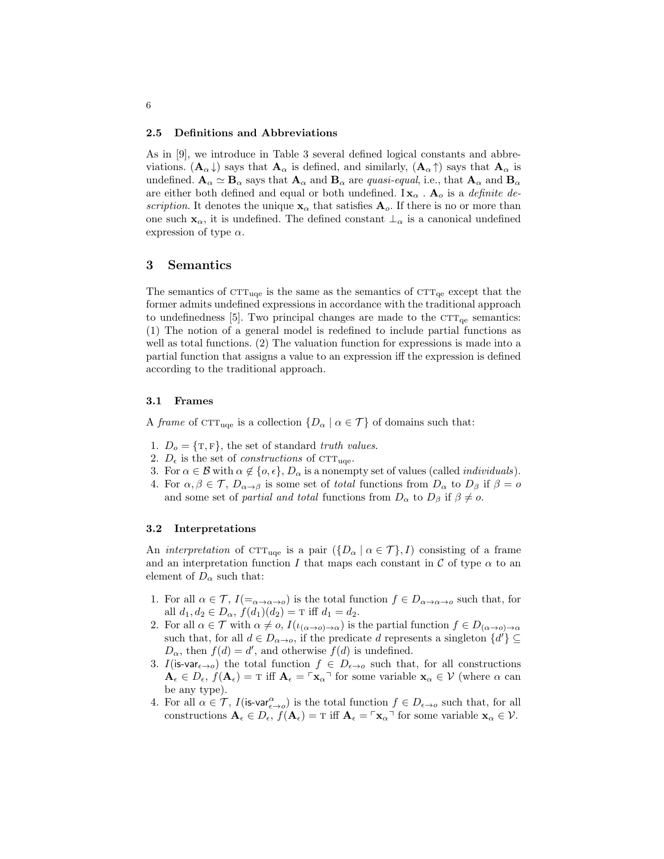#### 2.5 Definitions and Abbreviations

As in [9], we introduce in Table 3 several defined logical constants and abbreviations.  $(A_{\alpha}\downarrow)$  says that  $A_{\alpha}$  is defined, and similarly,  $(A_{\alpha}\uparrow)$  says that  $A_{\alpha}$  is undefined.  $\mathbf{A}_{\alpha} \simeq \mathbf{B}_{\alpha}$  says that  $\mathbf{A}_{\alpha}$  and  $\mathbf{B}_{\alpha}$  are *quasi-equal*, i.e., that  $\mathbf{A}_{\alpha}$  and  $\mathbf{B}_{\alpha}$ are either both defined and equal or both undefined. I $\mathbf{x}_{\alpha}$ .  $\mathbf{A}_{o}$  is a *definite de*scription. It denotes the unique  $x_{\alpha}$  that satisfies  $A_o$ . If there is no or more than one such  $\mathbf{x}_{\alpha}$ , it is undefined. The defined constant  $\perp_{\alpha}$  is a canonical undefined expression of type  $\alpha$ .

## 3 Semantics

The semantics of  $\text{CTT}_{\text{uqe}}$  is the same as the semantics of  $\text{CTT}_{\text{qe}}$  except that the former admits undefined expressions in accordance with the traditional approach to undefinedness [5]. Two principal changes are made to the  $\text{CTT}_{\text{qe}}$  semantics: (1) The notion of a general model is redefined to include partial functions as well as total functions. (2) The valuation function for expressions is made into a partial function that assigns a value to an expression iff the expression is defined according to the traditional approach.

## 3.1 Frames

A frame of  $\text{CTT}_{\text{uqe}}$  is a collection  $\{D_{\alpha} \mid \alpha \in \mathcal{T}\}\$  of domains such that:

- 1.  $D_0 = \{T, F\}$ , the set of standard truth values.
- 2.  $D_{\epsilon}$  is the set of *constructions* of CTT<sub>uqe</sub>.
- 3. For  $\alpha \in \mathcal{B}$  with  $\alpha \notin \{o, \epsilon\}, D_{\alpha}$  is a nonempty set of values (called *individuals*).
- 4. For  $\alpha, \beta \in \mathcal{T}$ ,  $D_{\alpha \to \beta}$  is some set of total functions from  $D_{\alpha}$  to  $D_{\beta}$  if  $\beta = o$ and some set of *partial and total* functions from  $D_{\alpha}$  to  $D_{\beta}$  if  $\beta \neq o$ .

#### 3.2 Interpretations

An interpretation of  $\text{CTT}_{\text{uqe}}$  is a pair  $(\{D_{\alpha} \mid \alpha \in \mathcal{T}\}, I)$  consisting of a frame and an interpretation function I that maps each constant in C of type  $\alpha$  to an element of  $D_{\alpha}$  such that:

- 1. For all  $\alpha \in \mathcal{T}$ ,  $I(\equiv_{\alpha \to \alpha \to o})$  is the total function  $f \in D_{\alpha \to \alpha \to o}$  such that, for all  $d_1, d_2 \in D_\alpha$ ,  $f(d_1)(d_2) = \text{T}$  iff  $d_1 = d_2$ .
- 2. For all  $\alpha \in \mathcal{T}$  with  $\alpha \neq o$ ,  $I(\iota_{(\alpha \to o) \to \alpha})$  is the partial function  $f \in D_{(\alpha \to o) \to \alpha}$ such that, for all  $d \in D_{\alpha \to o}$ , if the predicate d represents a singleton  $\{d'\} \subseteq$  $D_{\alpha}$ , then  $f(d) = d'$ , and otherwise  $f(d)$  is undefined.
- 3. I(is-var<sub> $\epsilon\rightarrow 0$ </sub>) the total function  $f \in D_{\epsilon\rightarrow 0}$  such that, for all constructions  $\mathbf{A}_{\epsilon} \in D_{\epsilon}, f(\mathbf{A}_{\epsilon}) = \tau$  iff  $\mathbf{A}_{\epsilon} = \tau_{\mathbf{X}_{\alpha}} \tau$  for some variable  $\mathbf{x}_{\alpha} \in \mathcal{V}$  (where  $\alpha$  can be any type).
- 4. For all  $\alpha \in \mathcal{T}$ ,  $I(\mathbf{is-var}^{\alpha}_{\epsilon \to o})$  is the total function  $f \in D_{\epsilon \to o}$  such that, for all constructions  $\mathbf{A}_{\epsilon} \in D_{\epsilon}$ ,  $f(\mathbf{A}_{\epsilon}) = \mathrm{T}$  iff  $\mathbf{A}_{\epsilon} = \mathrm{T} \mathbf{x}_{\alpha}$ <sup> $\mathrm{T}$ </sup> for some variable  $\mathbf{x}_{\alpha} \in \mathcal{V}$ .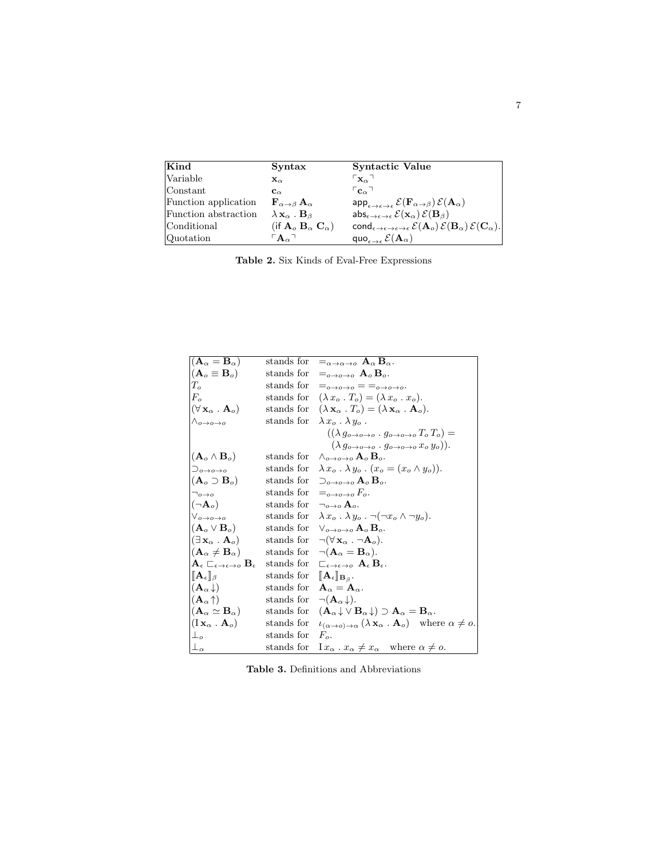| Kind                 | Syntax                                                       | Syntactic Value                                                                                                                                 |
|----------------------|--------------------------------------------------------------|-------------------------------------------------------------------------------------------------------------------------------------------------|
| Variable             | $\mathbf{x}_{\alpha}$                                        | $\mathsf{L}_{\mathbf{X}\alpha}$                                                                                                                 |
| Constant             | $\mathbf{c}_{\alpha}$                                        | $\mathsf{C}_{\alpha}$                                                                                                                           |
| Function application | ${\bf F}_{\alpha\rightarrow\beta}{\bf A}_{\alpha}$           | $\mathsf{app}_{\epsilon\to\epsilon\to\epsilon}\,\mathcal{E}(\mathbf{F}_{\alpha\to\beta})\,\mathcal{E}(\mathbf{A}_\alpha)$                       |
| Function abstraction | $\lambda$ $\mathbf{x}_{\alpha}$ . $\mathbf{B}_{\beta}$       | $\text{abs}_{\epsilon \to \epsilon \to \epsilon} \mathcal{E}(\mathbf{x}_{\alpha}) \mathcal{E}(\mathbf{B}_{\beta})$                              |
| Conditional          | (if $\mathbf{A}_o$ $\mathbf{B}_\alpha$ $\mathbf{C}_\alpha$ ) | cond $_{\epsilon\to\epsilon\to\epsilon\to\epsilon}\mathcal{E}(\mathbf{A}_{o})\mathcal{E}(\mathbf{B}_{\alpha})\mathcal{E}(\mathbf{C}_{\alpha}).$ |
| Quotation            | $\mathbf{A}_{\alpha}$                                        | quo <sub><math>\epsilon \rightarrow \epsilon</math></sub> $\mathcal{E}(\mathbf{A}_{\alpha})$                                                    |

Table 2. Six Kinds of Eval-Free Expressions

| $(\mathbf{A}_{\alpha} = \mathbf{B}_{\alpha})$                                             | stands for | $=_{\alpha\to\alpha\to o} A_{\alpha} B_{\alpha}.$                                                                         |
|-------------------------------------------------------------------------------------------|------------|---------------------------------------------------------------------------------------------------------------------------|
| $(\mathbf{A}_o \equiv \mathbf{B}_o)$                                                      | stands for | $=_{o\rightarrow o\rightarrow o}$ $A_o$ $B_o$ .                                                                           |
| $T_o$                                                                                     | stands for | $=_{o\rightarrow o\rightarrow o}$ $=$ $=_{o\rightarrow o\rightarrow o}$ .                                                 |
| $F_{\alpha}$                                                                              | stands for | $(\lambda x_o \cdot T_o) = (\lambda x_o \cdot x_o).$                                                                      |
| $(\forall \mathbf{x}_{\alpha} \ . \ \mathbf{A}_{o})$                                      | stands for | $(\lambda \mathbf{x}_{\alpha} \cdot T_o) = (\lambda \mathbf{x}_{\alpha} \cdot \mathbf{A}_o).$                             |
| $\wedge_{o\rightarrow o\rightarrow o}$                                                    | stands for | $\lambda x_o \cdot \lambda y_o$ .                                                                                         |
|                                                                                           |            | $((\lambda g_{o\rightarrow o\rightarrow o}\cdot g_{o\rightarrow o\rightarrow o}T_oT_o)=$                                  |
|                                                                                           |            | $(\lambda g_{o\rightarrow o\rightarrow o}\cdot g_{o\rightarrow o\rightarrow o} x_o y_o)).$                                |
| $\left(\mathbf{A}_{o}\wedge\mathbf{B}_{o}\right)$                                         | stands for | $\wedge_{o\rightarrow o\rightarrow o}$ $A_o$ $B_o$ .                                                                      |
| $\Box_{o\rightarrow o\rightarrow o}$                                                      | stands for | $\lambda x_o \cdot \lambda y_o \cdot (x_o = (x_o \wedge y_o)).$                                                           |
| $(\mathbf{A}_o \supset \mathbf{B}_o)$                                                     | stands for | $\supset_{o\rightarrow o\rightarrow o} A_o B_o.$                                                                          |
| $\neg$ <sub>0</sub> $\rightarrow$ <sub>0</sub>                                            | stands for | $=_{o\rightarrow o\rightarrow o} F_o$ .                                                                                   |
| $(\neg \mathbf{A}_o)$                                                                     | stands for | $\neg_{o\rightarrow o} A_o$ .                                                                                             |
| $\vee_{o\rightarrow o\rightarrow o}$                                                      | stands for | $\lambda x_o \cdot \lambda y_o$ . $\neg(\neg x_o \wedge \neg y_o)$ .                                                      |
| $\mathbf{(A}_o \vee \mathbf{B}_o)$                                                        | stands for | $\vee_{a\rightarrow a\rightarrow a}$ $\mathbf{A}_{a}$ $\mathbf{B}_{a}$ .                                                  |
| $ (\exists\,\mathbf{x}_{\alpha}$ . $\mathbf{A}_{o}) $                                     | stands for | $\neg(\forall \mathbf{x}_{\alpha} \cdot \neg \mathbf{A}_{\alpha}).$                                                       |
| $\mathbf{(A}_{\alpha}\neq\mathbf{B}_{\alpha})$                                            | stands for | $\neg(\mathbf{A}_{\alpha}=\mathbf{B}_{\alpha}).$                                                                          |
| $\mathbf{A}_{\epsilon} \sqsubset_{\epsilon \to \epsilon \to o} \mathbf{B}_{\epsilon}$     | stands for | $\sqsubset_{\epsilon \to \epsilon \to o} A_{\epsilon} B_{\epsilon}.$                                                      |
| $\ \mathbf{A}_{\epsilon}\ _{\beta}$                                                       | stands for | $[\![ {\bf A}_\epsilon]\!]_{{\bf B}_\beta}.$                                                                              |
| $\mathbf{A}_{\alpha}\!\downarrow)$                                                        | stands for | $A_{\alpha} = A_{\alpha}$ .                                                                                               |
| $\left\vert\left( \mathbf{A}_{\alpha}\!\uparrow\right) \right\rangle$                     | stands for | $\neg(\mathbf{A}_{\alpha}\downarrow).$                                                                                    |
| $(\mathbf{A}_\alpha\simeq \mathbf{B}_\alpha)$                                             | stands for | $(\mathbf{A}_{\alpha} \downarrow \vee \mathbf{B}_{\alpha} \downarrow) \supset \mathbf{A}_{\alpha} = \mathbf{B}_{\alpha}.$ |
| $\left\vert \left( \mathrm{I}\,\mathbf{x}_{\alpha}\,.\,\mathbf{A}_{o}\right) \right\vert$ | stands for | $u_{(\alpha \to o) \to \alpha} (\lambda \mathbf{x}_{\alpha} \cdot \mathbf{A}_{o})$ where $\alpha \neq o$ .                |
| $\perp_o$                                                                                 | stands for | $F_{\alpha}$ .                                                                                                            |
| $\perp_\alpha$                                                                            | stands for | $1x_{\alpha} \cdot x_{\alpha} \neq x_{\alpha}$ where $\alpha \neq o$ .                                                    |

Table 3. Definitions and Abbreviations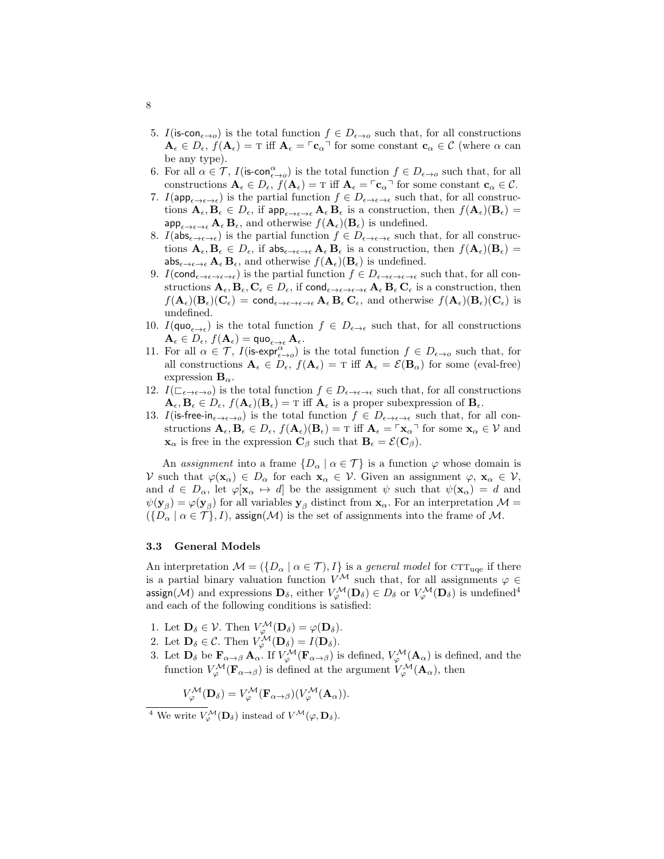- 5. I(is-con<sub> $\epsilon \rightarrow 0$ </sub>) is the total function  $f \in D_{\epsilon \rightarrow 0}$  such that, for all constructions  $\mathbf{A}_{\epsilon} \in D_{\epsilon}, f(\mathbf{A}_{\epsilon}) = \tau$  iff  $\mathbf{A}_{\epsilon} = \tau_{\mathbf{C}_{\alpha}}$  for some constant  $\mathbf{c}_{\alpha} \in \mathcal{C}$  (where  $\alpha$  can be any type).
- 6. For all  $\alpha \in \mathcal{T}$ ,  $I(\mathsf{is-con}^{\alpha}_{\epsilon \to o})$  is the total function  $f \in D_{\epsilon \to o}$  such that, for all constructions  $A_{\epsilon} \in D_{\epsilon}$ ,  $f(A_{\epsilon}) = T$  iff  $A_{\epsilon} = \lceil c_{\alpha} \rceil$  for some constant  $c_{\alpha} \in \mathcal{C}$ .
- 7.  $I(\mathsf{app}_{\epsilon \to \epsilon \to \epsilon})$  is the partial function  $f \in D_{\epsilon \to \epsilon \to \epsilon}$  such that, for all constructions  $\mathbf{A}_{\epsilon}, \mathbf{B}_{\epsilon} \in D_{\epsilon}$ , if  $\mathsf{app}_{\epsilon \to \epsilon \to \epsilon} \mathbf{A}_{\epsilon} \mathbf{B}_{\epsilon}$  is a construction, then  $f(\mathbf{A}_{\epsilon})(\mathbf{B}_{\epsilon}) =$  $\mathsf{app}_{\epsilon \to \epsilon \to \epsilon} \mathbf{A}_{\epsilon} \mathbf{B}_{\epsilon}$ , and otherwise  $f(\mathbf{A}_{\epsilon})(\mathbf{B}_{\epsilon})$  is undefined.
- 8.  $I(\mathsf{abs}_{\epsilon \to \epsilon \to \epsilon})$  is the partial function  $f \in D_{\epsilon \to \epsilon \to \epsilon}$  such that, for all constructions  $\mathbf{A}_{\epsilon}, \mathbf{B}_{\epsilon} \in D_{\epsilon}$ , if  $\mathsf{abs}_{\epsilon \to \epsilon \to \epsilon} \mathbf{A}_{\epsilon} \mathbf{B}_{\epsilon}$  is a construction, then  $f(\mathbf{A}_{\epsilon})(\mathbf{B}_{\epsilon}) =$  $\mathsf{abs}_{\epsilon \to \epsilon \to \epsilon} \mathbf{A}_{\epsilon} \mathbf{B}_{\epsilon}$ , and otherwise  $f(\mathbf{A}_{\epsilon})(\mathbf{B}_{\epsilon})$  is undefined.
- 9.  $I(\text{cond}_{\epsilon\to\epsilon\to\epsilon})$  is the partial function  $f\in D_{\epsilon\to\epsilon\to\epsilon}$  such that, for all constructions  $\mathbf{A}_{\epsilon}, \mathbf{B}_{\epsilon}, \mathbf{C}_{\epsilon} \in D_{\epsilon}$ , if  $\mathsf{cond}_{\epsilon \to \epsilon \to \epsilon}$ ,  $\mathbf{A}_{\epsilon} \mathbf{B}_{\epsilon} \mathbf{C}_{\epsilon}$  is a construction, then  $f(\mathbf{A}_{\epsilon})(\mathbf{B}_{\epsilon})(\mathbf{C}_{\epsilon}) = \text{cond}_{\epsilon \to \epsilon \to \epsilon} \mathbf{A}_{\epsilon} \mathbf{B}_{\epsilon} \mathbf{C}_{\epsilon}$ , and otherwise  $f(\mathbf{A}_{\epsilon})(\mathbf{B}_{\epsilon})(\mathbf{C}_{\epsilon})$  is undefined.
- 10.  $I(\text{quo}_{\epsilon \to \epsilon})$  is the total function  $f \in D_{\epsilon \to \epsilon}$  such that, for all constructions  $\mathbf{A}_{\epsilon} \in D_{\epsilon}, f(\mathbf{A}_{\epsilon}) = \text{quo}_{\epsilon \to \epsilon} \mathbf{A}_{\epsilon}.$
- 11. For all  $\alpha \in \mathcal{T}$ ,  $I(\text{is-expr}_{\epsilon \to o}^{\alpha})$  is the total function  $f \in D_{\epsilon \to o}$  such that, for all constructions  $A_{\epsilon} \in D_{\epsilon}$ ,  $f(A_{\epsilon}) = T$  iff  $A_{\epsilon} = \mathcal{E}(B_{\alpha})$  for some (eval-free) expression  $\mathbf{B}_{\alpha}$ .
- 12.  $I(\sqsubset_{\epsilon \to \epsilon \to 0})$  is the total function  $f \in D_{\epsilon \to \epsilon \to \epsilon}$  such that, for all constructions  $\mathbf{A}_{\epsilon}, \mathbf{B}_{\epsilon} \in D_{\epsilon}, f(\mathbf{A}_{\epsilon})(\mathbf{B}_{\epsilon}) = \text{Tr} \text{ iff } \mathbf{A}_{\epsilon} \text{ is a proper subexpression of } \mathbf{B}_{\epsilon}.$
- 13. I(is-free-in<sub> $\epsilon \to \epsilon$ </sub>) is the total function  $f \in D_{\epsilon \to \epsilon \to \epsilon}$  such that, for all constructions  $A_{\epsilon}, B_{\epsilon} \in D_{\epsilon}, f(A_{\epsilon})(B_{\epsilon}) = T$  iff  $A_{\epsilon} = \lceil x_{\alpha} \rceil$  for some  $x_{\alpha} \in V$  and  $\mathbf{x}_{\alpha}$  is free in the expression  $\mathbf{C}_{\beta}$  such that  $\mathbf{B}_{\epsilon} = \mathcal{E}(\mathbf{C}_{\beta}).$

An assignment into a frame  $\{D_{\alpha} \mid \alpha \in \mathcal{T}\}\$ is a function  $\varphi$  whose domain is V such that  $\varphi(\mathbf{x}_{\alpha}) \in D_{\alpha}$  for each  $\mathbf{x}_{\alpha} \in V$ . Given an assignment  $\varphi, \mathbf{x}_{\alpha} \in V$ , and  $d \in D_\alpha$ , let  $\varphi[\mathbf{x}_\alpha \mapsto d]$  be the assignment  $\psi$  such that  $\psi(\mathbf{x}_\alpha) = d$  and  $\psi(\mathbf{y}_{\beta}) = \varphi(\mathbf{y}_{\beta})$  for all variables  $\mathbf{y}_{\beta}$  distinct from  $\mathbf{x}_{\alpha}$ . For an interpretation  $\mathcal{M} =$  $({D_{\alpha} \mid \alpha \in \mathcal{T}}$ , I), assign(M) is the set of assignments into the frame of M.

### 3.3 General Models

An interpretation  $\mathcal{M} = (\{D_{\alpha} \mid \alpha \in \mathcal{T}\})$  is a general model for CTT<sub>uqe</sub> if there is a partial binary valuation function  $V^{\mathcal{M}}$  such that, for all assignments  $\varphi \in$ assign(M) and expressions  $D_\delta,$  either  $V_\varphi^\mathcal{M}(\mathbf{D}_\delta) \in D_\delta$  or  $V_\varphi^\mathcal{M}(\mathbf{D}_\delta)$  is undefined<sup>4</sup> and each of the following conditions is satisfied:

- 1. Let  $\mathbf{D}_{\delta} \in \mathcal{V}$ . Then  $V^{\mathcal{M}}_{\varphi}(\mathbf{D}_{\delta}) = \varphi(\mathbf{D}_{\delta})$ .
- 2. Let  $\mathbf{D}_{\delta} \in \mathcal{C}$ . Then  $V^{\mathcal{M}}_{\varphi}(\mathbf{D}_{\delta}) = I(\mathbf{D}_{\delta})$ .
- 3. Let  $\mathbf{D}_{\delta}$  be  $\mathbf{F}_{\alpha\to\beta}\mathbf{A}_{\alpha}$ . If  $V^{\mathcal{M}}_{\varphi}(\mathbf{F}_{\alpha\to\beta})$  is defined,  $V^{\mathcal{M}}_{\varphi}(\mathbf{A}_{\alpha})$  is defined, and the function  $V^{\mathcal{M}}_{\varphi}(\mathbf{F}_{\alpha \to \beta})$  is defined at the argument  $V^{\mathcal{M}}_{\varphi}(\mathbf{A}_{\alpha})$ , then

$$
V_{\varphi}^{\mathcal{M}}(\mathbf{D}_{\delta}) = V_{\varphi}^{\mathcal{M}}(\mathbf{F}_{\alpha \to \beta})(V_{\varphi}^{\mathcal{M}}(\mathbf{A}_{\alpha})).
$$

<sup>&</sup>lt;sup>4</sup> We write  $V_{\varphi}^{\mathcal{M}}(\mathbf{D}_{\delta})$  instead of  $V^{\mathcal{M}}(\varphi, \mathbf{D}_{\delta})$ .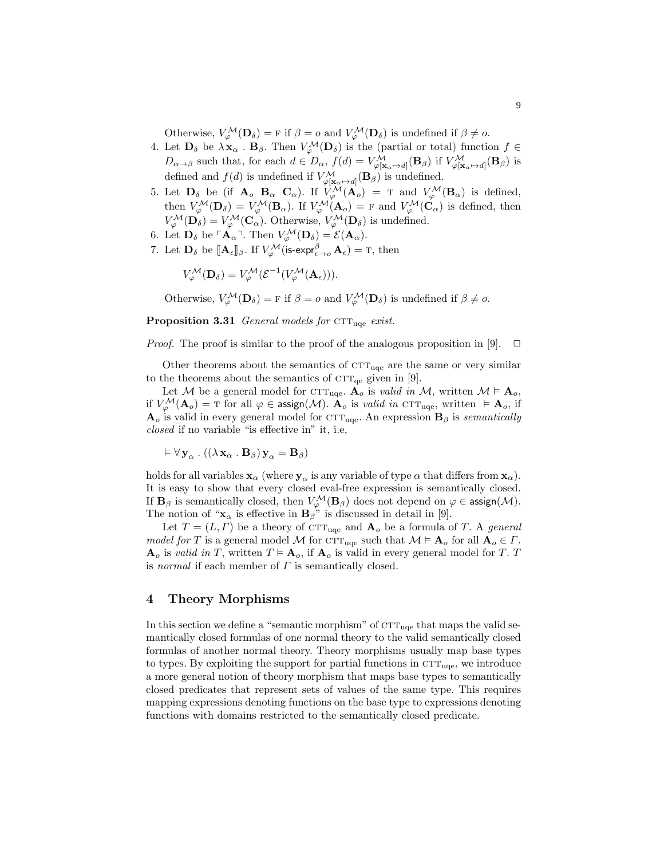Otherwise,  $V_{\varphi}^{\mathcal{M}}(\mathbf{D}_{\delta}) = F$  if  $\beta = o$  and  $V_{\varphi}^{\mathcal{M}}(\mathbf{D}_{\delta})$  is undefined if  $\beta \neq o$ .

- 4. Let  $\mathbf{D}_{\delta}$  be  $\lambda \mathbf{x}_{\alpha}$ .  $\mathbf{B}_{\beta}$ . Then  $V^{\mathcal{M}}_{\varphi}(\mathbf{D}_{\delta})$  is the (partial or total) function  $f \in$  $D_{\alpha\to\beta}$  such that, for each  $d\in D_{\alpha}$ ,  $f(d) = V^{\mathcal{M}}_{\varphi[\mathbf{x}_{\alpha}\mapsto d]}(\mathbf{B}_{\beta})$  if  $V^{\mathcal{M}}_{\varphi[\mathbf{x}_{\alpha}\mapsto d]}(\mathbf{B}_{\beta})$  is defined and  $f(d)$  is undefined if  $V^{\mathcal{M}}_{\varphi[\mathbf{x}_{\alpha} \mapsto d]}(\mathbf{B}_{\beta})$  is undefined.
- 5. Let  $\mathbf{D}_{\delta}$  be (if  $\mathbf{A}_{o}$   $\mathbf{B}_{\alpha}$   $\mathbf{C}_{\alpha}$ ). If  $V^{\tilde{M}}_{\varphi}(\mathbf{A}_{o}) = \tau$  and  $V^{\mathcal{M}}_{\varphi}(\mathbf{B}_{\alpha})$  is defined, then  $V^{\mathcal{M}}_{\varphi}(\mathbf{D}_{\delta}) = V^{\mathcal{M}}_{\varphi}(\mathbf{B}_{\alpha})$ . If  $V^{\mathcal{M}}_{\varphi}(\mathbf{A}_{o}) = F$  and  $V^{\mathcal{M}}_{\varphi}(\mathbf{C}_{\alpha})$  is defined, then  $V^{\mathcal{M}}_{\varphi}(\mathbf{D}_{\delta}) = V^{\mathcal{M}}_{\varphi}(\mathbf{C}_{\alpha}).$  Otherwise,  $V^{\mathcal{M}}_{\varphi}(\mathbf{D}_{\delta})$  is undefined.
- 6. Let  $\mathbf{D}_{\delta}$  be  $\ulcorner \mathbf{A}_{\alpha} \urcorner$ . Then  $V^{\mathcal{M}}_{\varphi}(\mathbf{D}_{\delta}) = \mathcal{E}(\mathbf{A}_{\alpha})$ .
- 7. Let  $\mathbf{D}_{\delta}$  be  $[\![\mathbf{A}_{\epsilon}]\!]_{\beta}$ . If  $V^{\mathcal{M}}_{\varphi}$  (is-expr $_{\epsilon\to o}^{\beta} \mathbf{A}_{\epsilon}$ ) = T, then

$$
V_{\varphi}^{\mathcal{M}}(\mathbf{D}_{\delta})=V_{\varphi}^{\mathcal{M}}(\mathcal{E}^{-1}(V_{\varphi}^{\mathcal{M}}(\mathbf{A}_{\epsilon}))).
$$

Otherwise,  $V_{\varphi}^{\mathcal{M}}(\mathbf{D}_{\delta}) = F$  if  $\beta = o$  and  $V_{\varphi}^{\mathcal{M}}(\mathbf{D}_{\delta})$  is undefined if  $\beta \neq o$ .

**Proposition 3.31** General models for  $T_{\text{uqe}}$  exist.

*Proof.* The proof is similar to the proof of the analogous proposition in [9].  $\Box$ 

Other theorems about the semantics of  $CTT_{\text{uce}}$  are the same or very similar to the theorems about the semantics of  $\text{CTT}_{\text{qe}}$  given in [9].

Let M be a general model for  $\text{CTT}_{\text{uce}}$ .  $\mathbf{A}_o$  is valid in M, written  $\mathcal{M} \models \mathbf{A}_o$ , if  $V_\varphi^\mathcal{M}(\mathbf{A}_o) = \textup{T}$  for all  $\varphi \in \mathsf{assign}(\mathcal{M})$ .  $\mathbf{A}_o$  is valid in  $\textup{cTT}_{\textup{uqe}},$  written  $\models \mathbf{A}_o$ , if  $\mathbf{A}_{o}$  is valid in every general model for  $\mathrm{CTT}_{\text{uqe}}$ . An expression  $\mathbf{B}_{\beta}$  is semantically closed if no variable "is effective in" it, i.e,

$$
\vDash \forall \mathbf{y}_{\alpha} \, . \, ((\lambda \mathbf{x}_{\alpha} \, . \, \mathbf{B}_{\beta}) \mathbf{y}_{\alpha} = \mathbf{B}_{\beta})
$$

holds for all variables  $\mathbf{x}_{\alpha}$  (where  $\mathbf{y}_{\alpha}$  is any variable of type  $\alpha$  that differs from  $\mathbf{x}_{\alpha}$ ). It is easy to show that every closed eval-free expression is semantically closed. If  $\mathbf{B}_{\beta}$  is semantically closed, then  $V^{\mathcal{M}}_{\varphi}(\mathbf{B}_{\beta})$  does not depend on  $\varphi \in \mathsf{assign}(\mathcal{M})$ . The notion of " $\mathbf{x}_{\alpha}$  is effective in  $\mathbf{B}_{\beta}$ " is discussed in detail in [9].

Let  $T = (L, \Gamma)$  be a theory of CTT<sub>uqe</sub> and  $\mathbf{A}_o$  be a formula of T. A general model for T is a general model M for  $\text{CTT}_{\text{uqe}}$  such that  $\mathcal{M} \models \mathbf{A}_o$  for all  $\mathbf{A}_o \in \Gamma$ .  $\mathbf{A}_o$  is valid in T, written  $T \models \mathbf{A}_o$ , if  $\mathbf{A}_o$  is valid in every general model for T. T is normal if each member of  $\Gamma$  is semantically closed.

## 4 Theory Morphisms

In this section we define a "semantic morphism" of  $\text{CTT}_{\text{uqe}}$  that maps the valid semantically closed formulas of one normal theory to the valid semantically closed formulas of another normal theory. Theory morphisms usually map base types to types. By exploiting the support for partial functions in  $\text{CTT}_{\text{uee}}$ , we introduce a more general notion of theory morphism that maps base types to semantically closed predicates that represent sets of values of the same type. This requires mapping expressions denoting functions on the base type to expressions denoting functions with domains restricted to the semantically closed predicate.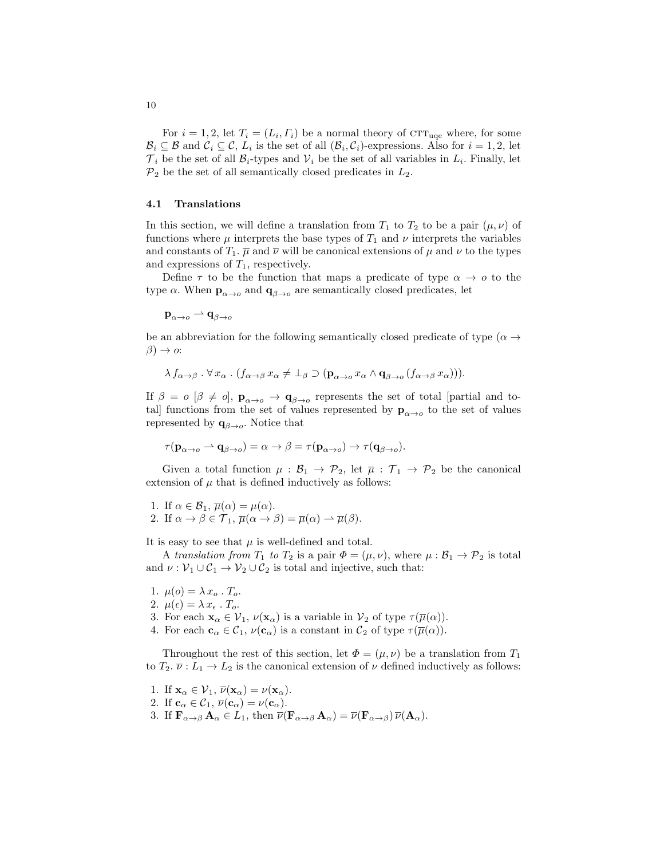For  $i = 1, 2$ , let  $T_i = (L_i, \Gamma_i)$  be a normal theory of CTT<sub>uqe</sub> where, for some  $\mathcal{B}_i \subseteq \mathcal{B}$  and  $\mathcal{C}_i \subseteq \mathcal{C}$ ,  $L_i$  is the set of all  $(\mathcal{B}_i, \mathcal{C}_i)$ -expressions. Also for  $i = 1, 2$ , let  $\mathcal{T}_i$  be the set of all  $\mathcal{B}_i$ -types and  $\mathcal{V}_i$  be the set of all variables in  $L_i$ . Finally, let  $\mathcal{P}_2$  be the set of all semantically closed predicates in  $L_2$ .

#### 4.1 Translations

In this section, we will define a translation from  $T_1$  to  $T_2$  to be a pair  $(\mu, \nu)$  of functions where  $\mu$  interprets the base types of  $T_1$  and  $\nu$  interprets the variables and constants of  $T_1$ .  $\overline{\mu}$  and  $\overline{\nu}$  will be canonical extensions of  $\mu$  and  $\nu$  to the types and expressions of  $T_1$ , respectively.

Define  $\tau$  to be the function that maps a predicate of type  $\alpha \to o$  to the type  $\alpha$ . When  $\mathbf{p}_{\alpha \to o}$  and  $\mathbf{q}_{\beta \to o}$  are semantically closed predicates, let

$$
\mathbf{p}_{\alpha\to o}\rightharpoonup \mathbf{q}_{\beta\to o}
$$

be an abbreviation for the following semantically closed predicate of type ( $\alpha \rightarrow$  $\beta$ )  $\rightarrow$  o:

$$
\lambda f_{\alpha \to \beta} \cdot \forall x_{\alpha} \cdot (f_{\alpha \to \beta} x_{\alpha} \neq \bot_{\beta} \supset (\mathbf{p}_{\alpha \to \alpha} x_{\alpha} \wedge \mathbf{q}_{\beta \to \alpha} (f_{\alpha \to \beta} x_{\alpha}))).
$$

If  $\beta = o \; [\beta \neq o], \; \mathbf{p}_{\alpha \to o} \to \mathbf{q}_{\beta \to o}$  represents the set of total [partial and totall functions from the set of values represented by  $\mathbf{p}_{\alpha\to o}$  to the set of values represented by  $q_{\beta \to o}$ . Notice that

$$
\tau(\mathbf{p}_{\alpha \to o} \to \mathbf{q}_{\beta \to o}) = \alpha \to \beta = \tau(\mathbf{p}_{\alpha \to o}) \to \tau(\mathbf{q}_{\beta \to o}).
$$

Given a total function  $\mu : \mathcal{B}_1 \to \mathcal{P}_2$ , let  $\overline{\mu} : \mathcal{T}_1 \to \mathcal{P}_2$  be the canonical extension of  $\mu$  that is defined inductively as follows:

1. If  $\alpha \in \mathcal{B}_1$ ,  $\overline{\mu}(\alpha) = \mu(\alpha)$ . 2. If  $\alpha \to \beta \in \mathcal{T}_1$ ,  $\overline{\mu}(\alpha \to \beta) = \overline{\mu}(\alpha) \to \overline{\mu}(\beta)$ .

It is easy to see that  $\mu$  is well-defined and total.

A translation from  $T_1$  to  $T_2$  is a pair  $\Phi = (\mu, \nu)$ , where  $\mu : \mathcal{B}_1 \to \mathcal{P}_2$  is total and  $\nu : \mathcal{V}_1 \cup \mathcal{C}_1 \to \mathcal{V}_2 \cup \mathcal{C}_2$  is total and injective, such that:

- 1.  $\mu(o) = \lambda x_o \cdot T_o$ .
- 2.  $\mu(\epsilon) = \lambda x_{\epsilon} \cdot T_o$ .
- 3. For each  $\mathbf{x}_{\alpha} \in \mathcal{V}_1$ ,  $\nu(\mathbf{x}_{\alpha})$  is a variable in  $\mathcal{V}_2$  of type  $\tau(\overline{\mu}(\alpha))$ .
- 4. For each  $\mathbf{c}_{\alpha} \in \mathcal{C}_1$ ,  $\nu(\mathbf{c}_{\alpha})$  is a constant in  $\mathcal{C}_2$  of type  $\tau(\overline{\mu}(\alpha))$ .

Throughout the rest of this section, let  $\Phi = (\mu, \nu)$  be a translation from  $T_1$ to  $T_2$ .  $\overline{\nu}: L_1 \to L_2$  is the canonical extension of  $\nu$  defined inductively as follows:

1. If  $\mathbf{x}_{\alpha} \in \mathcal{V}_1$ ,  $\overline{\nu}(\mathbf{x}_{\alpha}) = \nu(\mathbf{x}_{\alpha})$ . 2. If  $\mathbf{c}_{\alpha} \in \mathcal{C}_1$ ,  $\overline{\nu}(\mathbf{c}_{\alpha}) = \nu(\mathbf{c}_{\alpha})$ . 3. If  $\mathbf{F}_{\alpha \to \beta} \mathbf{A}_{\alpha} \in L_1$ , then  $\overline{\nu}(\mathbf{F}_{\alpha \to \beta} \mathbf{A}_{\alpha}) = \overline{\nu}(\mathbf{F}_{\alpha \to \beta}) \overline{\nu}(\mathbf{A}_{\alpha})$ .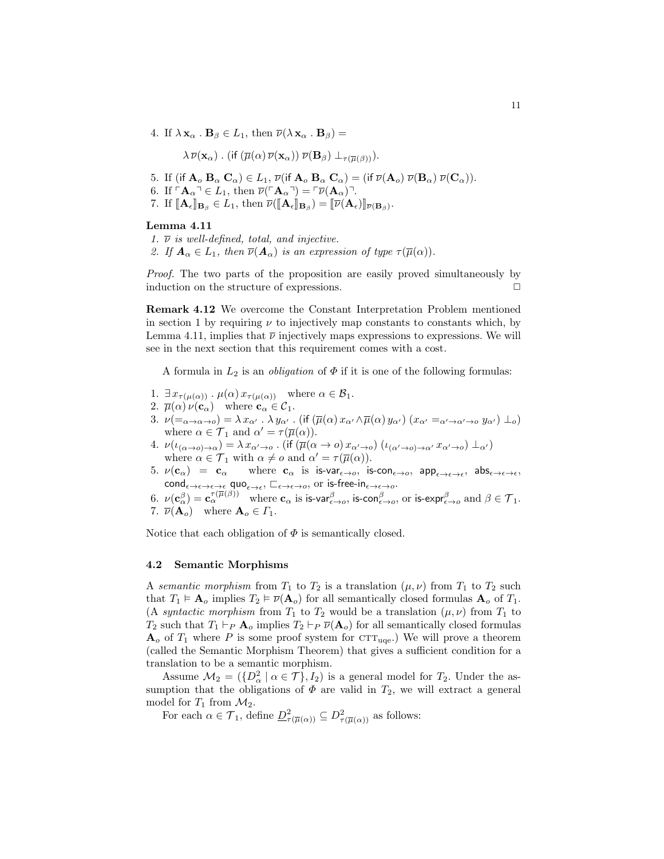4. If  $\lambda \mathbf{x}_{\alpha} \cdot \mathbf{B}_{\beta} \in L_1$ , then  $\overline{\nu}(\lambda \mathbf{x}_{\alpha} \cdot \mathbf{B}_{\beta}) =$ 

$$
\lambda \overline{\nu}(\mathbf{x}_{\alpha})
$$
. (if  $(\overline{\mu}(\alpha) \overline{\nu}(\mathbf{x}_{\alpha})) \overline{\nu}(\mathbf{B}_{\beta}) \perp_{\tau(\overline{\mu}(\beta))})$ ).

- 5. If (if  $\mathbf{A}_o \mathbf{B}_\alpha \mathbf{C}_\alpha$ )  $\in L_1$ ,  $\overline{\nu}$ (if  $\mathbf{A}_o \mathbf{B}_\alpha \mathbf{C}_\alpha$ ) = (if  $\overline{\nu}(\mathbf{A}_o) \overline{\nu}(\mathbf{B}_\alpha) \overline{\nu}(\mathbf{C}_\alpha)$ ).
- 6. If  $\ulcorner \mathbf{A}_\alpha \urcorner \in L_1$ , then  $\overline{\nu}(\ulcorner \mathbf{A}_\alpha \urcorner) = \ulcorner \overline{\nu}(\mathbf{A}_\alpha) \urcorner$ .
- 7. If  $[\![\mathbf{A}_{\epsilon}]\!]_{\mathbf{B}_{\beta}} \in L_1$ , then  $\overline{\nu}([\![\mathbf{A}_{\epsilon}]\!]_{\mathbf{B}_{\beta}}) = [\![\overline{\nu}(\mathbf{A}_{\epsilon})]\!]_{\overline{\nu}(\mathbf{B}_{\beta})}$ .

### Lemma 4.11

1.  $\overline{\nu}$  is well-defined, total, and injective. 2. If  $\mathbf{A}_{\alpha} \in L_1$ , then  $\overline{\nu}(\mathbf{A}_{\alpha})$  is an expression of type  $\tau(\overline{\mu}(\alpha))$ .

Proof. The two parts of the proposition are easily proved simultaneously by induction on the structure of expressions.  $\Box$ 

Remark 4.12 We overcome the Constant Interpretation Problem mentioned in section 1 by requiring  $\nu$  to injectively map constants to constants which, by Lemma 4.11, implies that  $\bar{\nu}$  injectively maps expressions to expressions. We will see in the next section that this requirement comes with a cost.

A formula in  $L_2$  is an *obligation* of  $\Phi$  if it is one of the following formulas:

- 1.  $\exists x_{\tau(\mu(\alpha))} \cdot \mu(\alpha) x_{\tau(\mu(\alpha))}$  where  $\alpha \in \mathcal{B}_1$ .
- 2.  $\overline{\mu}(\alpha) \nu(\mathbf{c}_{\alpha})$  where  $\mathbf{c}_{\alpha} \in \mathcal{C}_1$ .
- 3.  $\nu(\equiv_{\alpha\to\alpha\to\alpha}) = \lambda x_{\alpha'}$ .  $\lambda y_{\alpha'}$ . (if  $(\overline{\mu}(\alpha)x_{\alpha'} \wedge \overline{\mu}(\alpha)y_{\alpha'})$   $(x_{\alpha'} =_{\alpha'\to\alpha'\to\alpha} y_{\alpha'}) \perp_o$ ) where  $\alpha \in \mathcal{T}_1$  and  $\alpha' = \tau(\overline{\mu}(\alpha)).$
- 4.  $\nu(\iota_{(\alpha\to\alpha)\to\alpha})=\lambda x_{\alpha'\to\alpha}$  . (if  $(\overline{\mu}(\alpha\to\alpha)x_{\alpha'\to\alpha}) (\iota_{(\alpha'\to\alpha)\to\alpha'}x_{\alpha'\to\alpha})\perp_{\alpha'})$ where  $\alpha \in \mathcal{T}_1$  with  $\alpha \neq o$  and  $\alpha' = \tau(\overline{\mu}(\alpha)).$
- $5. \nu(\mathbf{c}_{\alpha}) = \mathbf{c}_{\alpha}$  where  $\mathbf{c}_{\alpha}$  is is-var $_{\epsilon \to o}$ , is-con $_{\epsilon \to o}$ , app $_{\epsilon \to \epsilon \to \epsilon}$ , abs $_{\epsilon \to \epsilon \to \epsilon}$ ,  $\text{cond}_{\epsilon\to\epsilon\to\epsilon\to\epsilon}$  quo $_{\epsilon\to\epsilon}, \sqsubset_{\epsilon\to\epsilon\to o}$ , or is-free-in $_{\epsilon\to\epsilon\to o}$ .
- 6.  $\nu(\mathbf{c}_{\alpha}^{\beta}) = \mathbf{c}_{\alpha}^{\tau(\overline{\mu}(\beta))}$  where  $\mathbf{c}_{\alpha}$  is is-var $_{\epsilon \to o}^{\beta}$ , is-con $_{\epsilon \to o}^{\beta}$ , or is-expr $_{\epsilon \to o}^{\beta}$  and  $\beta \in \mathcal{T}_1$ . 7.  $\overline{\nu}(\mathbf{A}_o)$  where  $\mathbf{A}_o \in \Gamma_1$ .

Notice that each obligation of  $\Phi$  is semantically closed.

## 4.2 Semantic Morphisms

A semantic morphism from  $T_1$  to  $T_2$  is a translation  $(\mu, \nu)$  from  $T_1$  to  $T_2$  such that  $T_1 \models A_o$  implies  $T_2 \models \overline{\nu}(A_o)$  for all semantically closed formulas  $A_o$  of  $T_1$ . (A syntactic morphism from  $T_1$  to  $T_2$  would be a translation  $(\mu, \nu)$  from  $T_1$  to  $T_2$  such that  $T_1 \vdash_P \mathbf{A}_o$  implies  $T_2 \vdash_P \overline{\nu}(\mathbf{A}_o)$  for all semantically closed formulas  $\mathbf{A}_{o}$  of  $T_1$  where P is some proof system for  $\mathrm{CTT}_{\text{uqe}}$ .) We will prove a theorem (called the Semantic Morphism Theorem) that gives a sufficient condition for a translation to be a semantic morphism.

Assume  $\mathcal{M}_2 = (\{D^2_\alpha \mid \alpha \in \mathcal{T}\}, I_2)$  is a general model for  $T_2$ . Under the assumption that the obligations of  $\Phi$  are valid in  $T_2$ , we will extract a general model for  $T_1$  from  $\mathcal{M}_2$ .

For each  $\alpha \in \mathcal{T}_1$ , define  $\underline{D}^2_{\tau(\overline{\mu}(\alpha))} \subseteq D^2_{\tau(\overline{\mu}(\alpha))}$  as follows: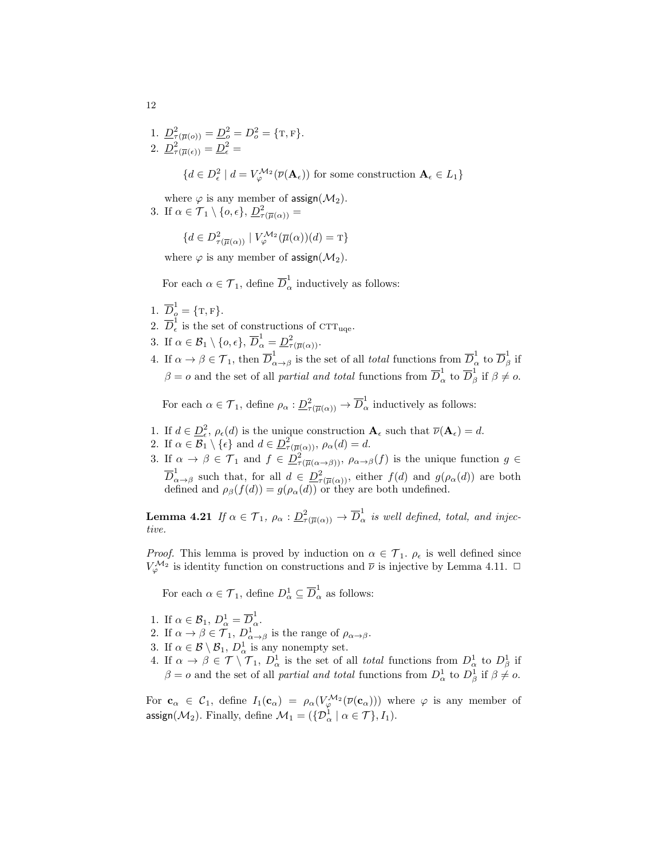1. 
$$
\underline{D}_{\tau(\overline{\mu}(o))}^{2} = \underline{D}_{o}^{2} = D_{o}^{2} = \{\mathbf{T}, \mathbf{F}\}.
$$
  
\n2. 
$$
\underline{D}_{\tau(\overline{\mu}(e))}^{2} = \underline{D}_{\epsilon}^{2} = \{d \in D_{\epsilon}^{2} \mid d = V_{\varphi}^{\mathcal{M}_{2}}(\overline{\nu}(\mathbf{A}_{\epsilon})) \text{ for some construction } \mathbf{A}_{\epsilon} \in L_{1}\}
$$

where  $\varphi$  is any member of assign( $\mathcal{M}_2$ ). 3. If  $\alpha \in \mathcal{T}_1 \setminus \{o, \epsilon\}, \underline{D^2_{\tau(\overline{\mu}(\alpha))}} =$ 

$$
\{d \in D^2_{\tau(\overline{\mu}(\alpha))} \mid V_{\varphi}^{\mathcal{M}_2}(\overline{\mu}(\alpha))(d) = \text{T}\}
$$

where  $\varphi$  is any member of assign( $\mathcal{M}_2$ ).

For each  $\alpha \in \mathcal{T}_1$ , define  $\overline{D}_{\alpha}^1$  inductively as follows:

- 1.  $\overline{D}_{\rho}^{1} = \{T, F\}.$
- 2.  $\overline{D}_{\epsilon}^1$  $\frac{1}{\epsilon}$  is the set of constructions of CTT<sub>uqe</sub>.
- 3. If  $\alpha \in \mathcal{B}_1 \setminus \{o, \epsilon\}, \overline{D}_{\alpha}^1 = \underline{D}_{\tau(\overline{\mu}(\alpha))}^2$ .
- 4. If  $\alpha \to \beta \in \mathcal{T}_1$ , then  $\overline{D}_{\alpha}^1$  $\frac{1}{\alpha \rightarrow \beta}$  is the set of all *total* functions from  $\overline{D}_{\alpha}^1$  to  $\overline{D}_{\beta}^1$  $\frac{1}{\beta}$  if  $\beta = o$  and the set of all *partial and total* functions from  $\overline{D}_{\alpha}^1$  to  $\overline{D}_{\beta}^1$  $\frac{1}{\beta}$  if  $\beta \neq o$ .

For each  $\alpha \in \mathcal{T}_1$ , define  $\rho_\alpha : \underline{D}^2_{\tau(\overline{\mu}(\alpha))} \to \overline{D}^1_\alpha$  inductively as follows:

- 1. If  $d \in \underline{D}_{\epsilon}^2$ ,  $\rho_{\epsilon}(d)$  is the unique construction  $\mathbf{A}_{\epsilon}$  such that  $\overline{\nu}(\mathbf{A}_{\epsilon}) = d$ .
- 2. If  $\alpha \in \mathcal{B}_1 \setminus \{\epsilon\}$  and  $d \in \underline{D}^2_{\tau(\overline{\mu}(\alpha))}$ ,  $\rho_{\alpha}(d) = d$ .
- 3. If  $\alpha \to \beta \in \mathcal{T}_1$  and  $f \in \underline{D}^2_{\tau(\overline{\mu}(\alpha \to \beta))}$ ,  $\rho_{\alpha \to \beta}(f)$  is the unique function  $g \in$  $\overline{D}_\alpha^1$  $\alpha \to \beta$  such that, for all  $d \in \underline{D^2_{\tau(\overline{\mu}(\alpha))}}$ , either  $f(d)$  and  $g(\rho_\alpha(d))$  are both defined and  $\rho_{\beta}(f(d)) = g(\rho_{\alpha}(d))$  or they are both undefined.

**Lemma 4.21** If  $\alpha \in \mathcal{T}_1$ ,  $\rho_\alpha : \underline{D}^2_{\tau(\overline{\mu}(\alpha))} \to \overline{D}^1_\alpha$  is well defined, total, and injective.

*Proof.* This lemma is proved by induction on  $\alpha \in \mathcal{T}_1$ .  $\rho_{\epsilon}$  is well defined since  $V_{\varphi}^{\mathcal{M}_2}$  is identity function on constructions and  $\bar{\nu}$  is injective by Lemma 4.11.  $\Box$ 

For each  $\alpha \in \mathcal{T}_1$ , define  $D^1_\alpha \subseteq \overline{D}^1_\alpha$  as follows:

- 1. If  $\alpha \in \mathcal{B}_1$ ,  $D^1_{\alpha} = \overline{D}^1_{\alpha}$ .
- 2. If  $\alpha \to \beta \in \mathcal{T}_1$ ,  $D^1_{\alpha \to \beta}$  is the range of  $\rho_{\alpha \to \beta}$ .
- 3. If  $\alpha \in \mathcal{B} \setminus \mathcal{B}_1$ ,  $D^1_{\alpha}$  is any nonempty set.
- 4. If  $\alpha \to \beta \in \mathcal{T} \setminus \mathcal{T}_1$ ,  $D^1_{\alpha}$  is the set of all *total* functions from  $D^1_{\alpha}$  to  $D^1_{\beta}$  if  $\beta = o$  and the set of all *partial and total* functions from  $D^1_\alpha$  to  $D^1_\beta$  if  $\beta \neq o$ .

For  $c_{\alpha} \in C_1$ , define  $I_1(c_{\alpha}) = \rho_{\alpha}(V_{\varphi}^{\mathcal{M}_2}(\overline{\nu}(c_{\alpha})))$  where  $\varphi$  is any member of assign( $\mathcal{M}_2$ ). Finally, define  $\mathcal{M}_1 = (\{\mathcal{D}_\alpha^1 \mid \alpha \in \mathcal{T}\}, I_1)$ .

12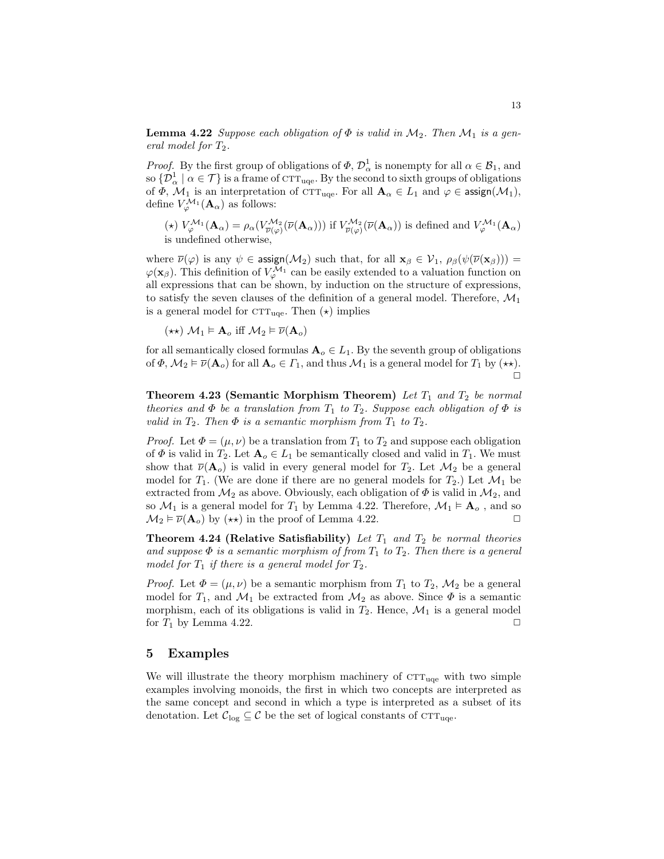**Lemma 4.22** Suppose each obligation of  $\Phi$  is valid in  $\mathcal{M}_2$ . Then  $\mathcal{M}_1$  is a general model for  $T_2$ .

*Proof.* By the first group of obligations of  $\Phi$ ,  $\mathcal{D}_{\alpha}^1$  is nonempty for all  $\alpha \in \mathcal{B}_1$ , and so  $\{\mathcal{D}_{\alpha}^{1} \mid \alpha \in \mathcal{T}\}$  is a frame of  $\text{crt}_{\text{uqe}}$ . By the second to sixth groups of obligations of  $\Phi$ ,  $\mathcal{M}_1$  is an interpretation of CTT<sub>uqe</sub>. For all  $\mathbf{A}_{\alpha} \in L_1$  and  $\varphi \in \mathsf{assign}(\mathcal{M}_1)$ , define  $V^{\mathcal{M}_1}_{\varphi}(\mathbf{A}_{\alpha})$  as follows:

(\*)  $V^{\mathcal{M}_1}_{\varphi}(\mathbf{A}_{\alpha}) = \rho_{\alpha}(V^{\mathcal{M}_2}_{\overline{\nu}(\varphi)}(\overline{\nu}(\mathbf{A}_{\alpha})))$  if  $V^{\mathcal{M}_2}_{\overline{\nu}(\varphi)}(\overline{\nu}(\mathbf{A}_{\alpha}))$  is defined and  $V^{\mathcal{M}_1}_{\varphi}(\mathbf{A}_{\alpha})$ is undefined otherwise,

where  $\overline{\nu}(\varphi)$  is any  $\psi \in \text{assign}(\mathcal{M}_2)$  such that, for all  $\mathbf{x}_{\beta} \in \mathcal{V}_1$ ,  $\rho_{\beta}(\psi(\overline{\nu}(\mathbf{x}_{\beta})))$  =  $\varphi(\mathbf{x}_{\beta})$ . This definition of  $V_{\varphi}^{\mathcal{M}_1}$  can be easily extended to a valuation function on all expressions that can be shown, by induction on the structure of expressions, to satisfy the seven clauses of the definition of a general model. Therefore,  $\mathcal{M}_1$ is a general model for  $\text{CTT}_{\text{uqe}}$ . Then  $(\star)$  implies

 $(\star \star)$   $\mathcal{M}_1 \models \mathbf{A}_o$  iff  $\mathcal{M}_2 \models \overline{\nu}(\mathbf{A}_o)$ 

for all semantically closed formulas  $\mathbf{A}_{o} \in L_1$ . By the seventh group of obligations of  $\Phi$ ,  $\mathcal{M}_2 \models \overline{\nu}(\mathbf{A}_o)$  for all  $\mathbf{A}_o \in \Gamma_1$ , and thus  $\mathcal{M}_1$  is a general model for  $T_1$  by  $(\star \star)$ .  $\Box$ 

**Theorem 4.23 (Semantic Morphism Theorem)** Let  $T_1$  and  $T_2$  be normal theories and  $\Phi$  be a translation from  $T_1$  to  $T_2$ . Suppose each obligation of  $\Phi$  is valid in  $T_2$ . Then  $\Phi$  is a semantic morphism from  $T_1$  to  $T_2$ .

*Proof.* Let  $\Phi = (\mu, \nu)$  be a translation from  $T_1$  to  $T_2$  and suppose each obligation of  $\Phi$  is valid in  $T_2$ . Let  $\mathbf{A}_o \in L_1$  be semantically closed and valid in  $T_1$ . We must show that  $\overline{\nu}(\mathbf{A}_o)$  is valid in every general model for  $T_2$ . Let  $\mathcal{M}_2$  be a general model for  $T_1$ . (We are done if there are no general models for  $T_2$ .) Let  $\mathcal{M}_1$  be extracted from  $\mathcal{M}_2$  as above. Obviously, each obligation of  $\Phi$  is valid in  $\mathcal{M}_2$ , and so  $\mathcal{M}_1$  is a general model for  $T_1$  by Lemma 4.22. Therefore,  $\mathcal{M}_1 \models \mathbf{A}_o$ , and so  $\mathcal{M}_2 \models \overline{\nu}(\mathbf{A}_o)$  by  $(\star \star)$  in the proof of Lemma 4.22.

**Theorem 4.24 (Relative Satisfiability)** Let  $T_1$  and  $T_2$  be normal theories and suppose  $\Phi$  is a semantic morphism of from  $T_1$  to  $T_2$ . Then there is a general model for  $T_1$  if there is a general model for  $T_2$ .

*Proof.* Let  $\Phi = (\mu, \nu)$  be a semantic morphism from  $T_1$  to  $T_2$ ,  $\mathcal{M}_2$  be a general model for  $T_1$ , and  $\mathcal{M}_1$  be extracted from  $\mathcal{M}_2$  as above. Since  $\Phi$  is a semantic morphism, each of its obligations is valid in  $T_2$ . Hence,  $\mathcal{M}_1$  is a general model for  $T_1$  by Lemma 4.22.

# 5 Examples

We will illustrate the theory morphism machinery of  $\text{CTT}_{\text{uqe}}$  with two simple examples involving monoids, the first in which two concepts are interpreted as the same concept and second in which a type is interpreted as a subset of its denotation. Let  $\mathcal{C}_{\text{log}} \subseteq \mathcal{C}$  be the set of logical constants of CTT<sub>uqe</sub>.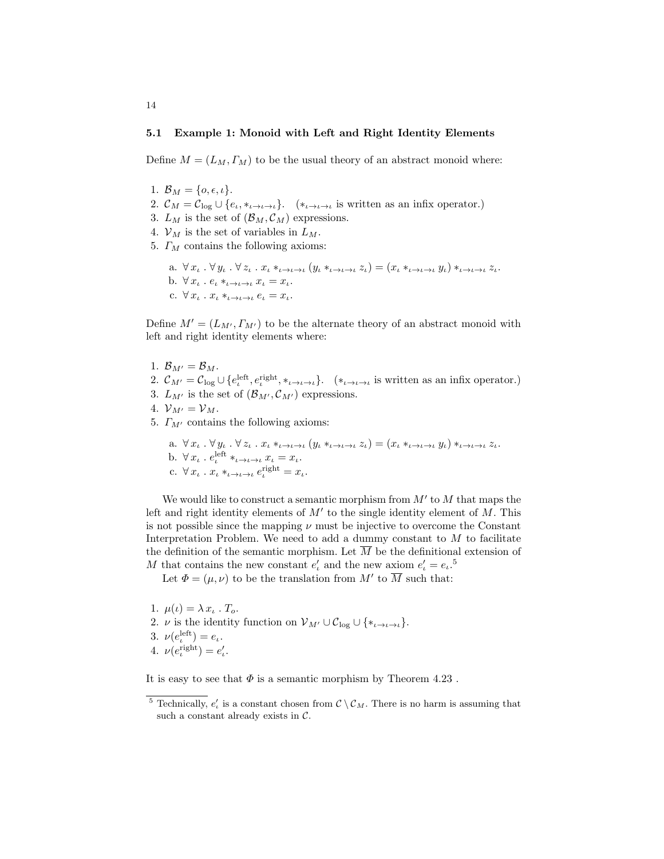#### 5.1 Example 1: Monoid with Left and Right Identity Elements

Define  $M = (L_M, \Gamma_M)$  to be the usual theory of an abstract monoid where:

1.  $\mathcal{B}_M = \{o, \epsilon, \iota\}.$ 

14

- 2.  $\mathcal{C}_M = \mathcal{C}_{\log} \cup \{e_i, *_{\iota \to \iota \to \iota}\}.$  (\* $_{\iota \to \iota \to \iota}$  is written as an infix operator.)
- 3.  $L_M$  is the set of  $(\mathcal{B}_M, \mathcal{C}_M)$  expressions.
- 4.  $\mathcal{V}_M$  is the set of variables in  $L_M$ .
- 5.  $\Gamma_M$  contains the following axioms:
	- a.  $\forall x_i \cdot \forall y_i \cdot \forall z_i \cdot x_i *_{\iota \to \iota \to \iota} (y_i *_{\iota \to \iota \to \iota} z_i) = (x_\iota *_{\iota \to \iota \to \iota} y_\iota) *_{\iota \to \iota \to \iota} z_\iota.$ b.  $\forall x_{\iota} \cdot e_{\iota} *_{\iota \to \iota \to \iota} x_{\iota} = x_{\iota}.$ c.  $\forall x_{\iota} \cdot x_{\iota} *_{\iota \to \iota \to \iota} e_{\iota} = x_{\iota}.$

Define  $M' = (L_{M'}, \Gamma_{M'})$  to be the alternate theory of an abstract monoid with left and right identity elements where:

- 1.  $\mathcal{B}_{M'} = \mathcal{B}_M$ .
- 2.  $\mathcal{C}_{M'} = \mathcal{C}_{\log} \cup \{e_i^{\text{left}}, e_i^{\text{right}}, *_{\iota \to \iota \to \iota}\}$ .  $(*_{\iota \to \iota \to \iota}$  is written as an infix operator.)
- 3.  $L_{M'}$  is the set of  $(\mathcal{B}_{M'}, \mathcal{C}_{M'})$  expressions.
- 4.  $V_{M'} = V_M$ .
- 5.  $\Gamma_{M'}$  contains the following axioms:

a. 
$$
\forall x_{\iota} \cdot \forall y_{\iota} \cdot \forall z_{\iota} \cdot x_{\iota} *_{\iota \to \iota \to \iota} (y_{\iota} *_{\iota \to \iota \to \iota} z_{\iota}) = (x_{\iota} *_{\iota \to \iota \to \iota} y_{\iota}) *_{\iota \to \iota \to \iota} z_{\iota}.
$$
  
b.  $\forall x_{\iota} \cdot e^{\text{left}}_{\iota} *_{\iota \to \iota \to \iota} x_{\iota} = x_{\iota}.$   
c.  $\forall x_{\iota} \cdot x_{\iota} *_{\iota \to \iota \to \iota} e^{\text{right}}_{\iota} = x_{\iota}.$ 

We would like to construct a semantic morphism from  $M'$  to  $M$  that maps the left and right identity elements of  $M'$  to the single identity element of  $M$ . This is not possible since the mapping  $\nu$  must be injective to overcome the Constant Interpretation Problem. We need to add a dummy constant to  $M$  to facilitate the definition of the semantic morphism. Let  $\overline{M}$  be the definitional extension of M that contains the new constant  $e'_i$  and the new axiom  $e'_i = e_i$ <sup>5</sup>.

Let  $\Phi = (\mu, \nu)$  to be the translation from M' to  $\overline{M}$  such that:

1.  $\mu(\iota) = \lambda x_{\iota} \cdot T_o$ . 2.  $\nu$  is the identity function on  $\mathcal{V}_{M'} \cup \mathcal{C}_{\text{log}} \cup \{*_i \to \iota \to \iota\}.$ 3.  $\nu(e_i^{\text{left}}) = e_i$ . 4.  $\nu(e_i^{\text{right}}) = e'_i$ .

It is easy to see that  $\Phi$  is a semantic morphism by Theorem 4.23.

<sup>&</sup>lt;sup>5</sup> Technically,  $e'_{\iota}$  is a constant chosen from  $\mathcal{C} \setminus \mathcal{C}_M$ . There is no harm is assuming that such a constant already exists in  $C$ .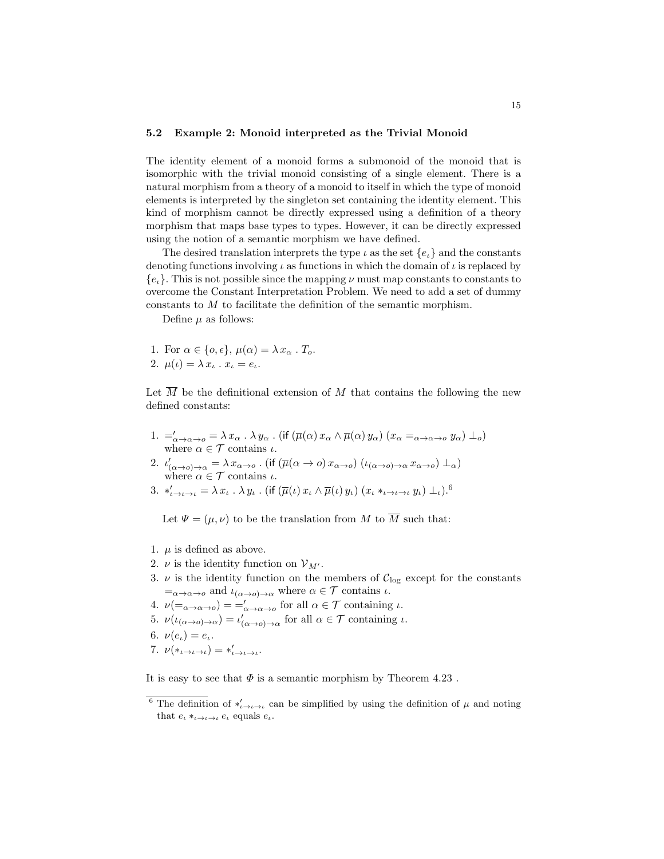#### 5.2 Example 2: Monoid interpreted as the Trivial Monoid

The identity element of a monoid forms a submonoid of the monoid that is isomorphic with the trivial monoid consisting of a single element. There is a natural morphism from a theory of a monoid to itself in which the type of monoid elements is interpreted by the singleton set containing the identity element. This kind of morphism cannot be directly expressed using a definition of a theory morphism that maps base types to types. However, it can be directly expressed using the notion of a semantic morphism we have defined.

The desired translation interprets the type  $\iota$  as the set  $\{e_i\}$  and the constants denoting functions involving  $\iota$  as functions in which the domain of  $\iota$  is replaced by  ${e<sub>l</sub>}$ . This is not possible since the mapping  $\nu$  must map constants to constants to overcome the Constant Interpretation Problem. We need to add a set of dummy constants to M to facilitate the definition of the semantic morphism.

Define  $\mu$  as follows:

1. For 
$$
\alpha \in \{o, \epsilon\}
$$
,  $\mu(\alpha) = \lambda x_{\alpha} \cdot T_o$ .  
2.  $\mu(\iota) = \lambda x_{\iota} \cdot x_{\iota} = e_{\iota}$ .

Let  $\overline{M}$  be the definitional extension of M that contains the following the new defined constants:

1.  $=\!\!\begin{array}{l}\n= \ \alpha \rightarrow \alpha \rightarrow o\n\end{array} = \lambda x_{\alpha}$ .  $\lambda y_{\alpha}$ . (if  $(\overline{\mu}(\alpha) x_{\alpha} \wedge \overline{\mu}(\alpha) y_{\alpha})$   $(x_{\alpha} =_{\alpha \rightarrow \alpha \rightarrow o} y_{\alpha}) \perp_o)$ where  $\alpha \in \mathcal{T}$  contains  $\iota$ .

2. 
$$
\iota'_{(\alpha\to o)\to\alpha} = \lambda x_{\alpha\to o}
$$
. (if  $(\overline{\mu}(\alpha \to o) x_{\alpha\to o}) (\iota_{(\alpha\to o)\to\alpha} x_{\alpha\to o}) \perp_{\alpha})$   
where  $\alpha \in \mathcal{T}$  contains  $\iota$ .

3.  $*_{{\iota}\to{\iota}\to{\iota}} = \lambda\,x_{\iota}\,$ .  $\lambda\,y_{\iota}$  . (if  $(\overline{\mu}({\iota})\,x_{\iota}\wedge\overline{\mu}({\iota})\,y_{\iota})\,(x_{\iota}\ast_{{\iota}\to{\iota}\to{\iota}}\,y_{\iota})\perp_{\iota}) .^6$ 

Let  $\Psi = (\mu, \nu)$  to be the translation from M to  $\overline{M}$  such that:

- 1.  $\mu$  is defined as above.
- 2.  $\nu$  is the identity function on  $\mathcal{V}_{M'}$ .
- 3.  $\nu$  is the identity function on the members of  $\mathcal{C}_{\log}$  except for the constants  $=\alpha \rightarrow \alpha \rightarrow 0$  and  $\iota_{(\alpha \rightarrow 0) \rightarrow \alpha}$  where  $\alpha \in \mathcal{T}$  contains  $\iota$ .
- 4.  $\nu(\equiv_{\alpha \to \alpha \to 0}) = \equiv'_{\alpha \to \alpha \to 0}$  for all  $\alpha \in \mathcal{T}$  containing  $\iota$ .
- 5.  $\nu(\iota_{(\alpha\to\alpha)\to\alpha})=\iota'_{(\alpha\to\alpha)\to\alpha}$  for all  $\alpha\in\mathcal{T}$  containing  $\iota$ .
- 6.  $\nu(e_i) = e_i$ .
- 7.  $\nu(*_{\iota \to \iota \to \iota}) = *_{\iota \to \iota \to \iota}$ .

It is easy to see that  $\Phi$  is a semantic morphism by Theorem 4.23.

<sup>&</sup>lt;sup>6</sup> The definition of  $*_{\iota \to \iota \to \iota}$  can be simplified by using the definition of  $\mu$  and noting that  $e_i *_{i \to i \to i} e_i$  equals  $e_i$ .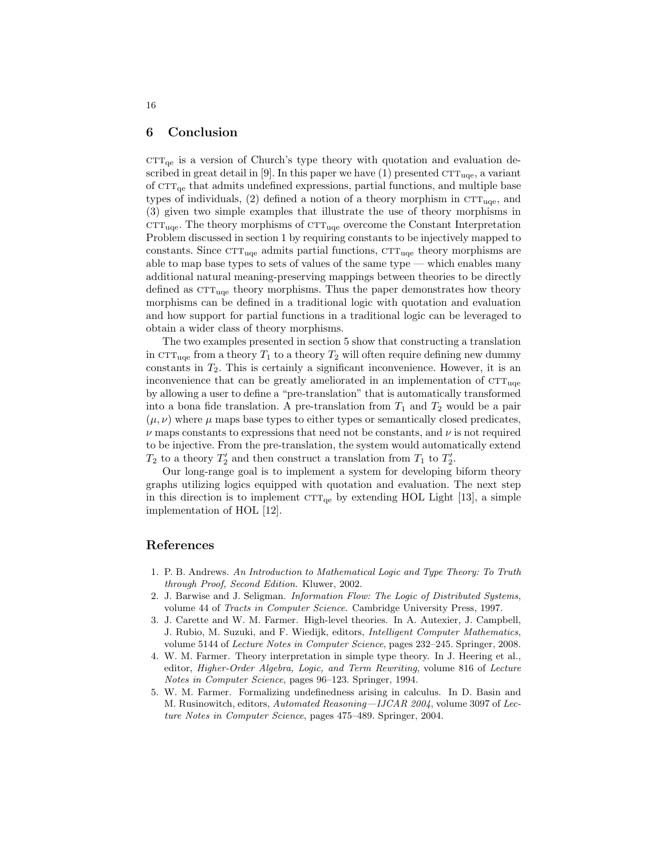## 6 Conclusion

 $CTT_{qe}$  is a version of Church's type theory with quotation and evaluation described in great detail in [9]. In this paper we have  $(1)$  presented  $CTT_{uqe}$ , a variant of  $\text{CTT}_{\text{qe}}$  that admits undefined expressions, partial functions, and multiple base types of individuals,  $(2)$  defined a notion of a theory morphism in  $\mathrm{CTT}_{\text{uqe}}$ , and (3) given two simple examples that illustrate the use of theory morphisms in  $\text{CTT}_{\text{uqe}}$ . The theory morphisms of  $\text{CTT}_{\text{uqe}}$  overcome the Constant Interpretation Problem discussed in section 1 by requiring constants to be injectively mapped to constants. Since  $\text{CTT}_{\text{uqe}}$  admits partial functions,  $\text{CTT}_{\text{uqe}}$  theory morphisms are able to map base types to sets of values of the same type — which enables many additional natural meaning-preserving mappings between theories to be directly defined as  $CTT_{\text{uqe}}$  theory morphisms. Thus the paper demonstrates how theory morphisms can be defined in a traditional logic with quotation and evaluation and how support for partial functions in a traditional logic can be leveraged to obtain a wider class of theory morphisms.

The two examples presented in section 5 show that constructing a translation in  $T_1$ <sub>uqe</sub> from a theory  $T_1$  to a theory  $T_2$  will often require defining new dummy constants in  $T_2$ . This is certainly a significant inconvenience. However, it is an inconvenience that can be greatly ameliorated in an implementation of  $\text{CTT}_{\text{uqe}}$ by allowing a user to define a "pre-translation" that is automatically transformed into a bona fide translation. A pre-translation from  $T_1$  and  $T_2$  would be a pair  $(\mu, \nu)$  where  $\mu$  maps base types to either types or semantically closed predicates,  $\nu$  maps constants to expressions that need not be constants, and  $\nu$  is not required to be injective. From the pre-translation, the system would automatically extend  $T_2$  to a theory  $T_2'$  and then construct a translation from  $T_1$  to  $T_2'$ .

Our long-range goal is to implement a system for developing biform theory graphs utilizing logics equipped with quotation and evaluation. The next step in this direction is to implement  $CTT_{qe}$  by extending HOL Light [13], a simple implementation of HOL [12].

# References

- 1. P. B. Andrews. An Introduction to Mathematical Logic and Type Theory: To Truth through Proof, Second Edition. Kluwer, 2002.
- 2. J. Barwise and J. Seligman. Information Flow: The Logic of Distributed Systems, volume 44 of Tracts in Computer Science. Cambridge University Press, 1997.
- 3. J. Carette and W. M. Farmer. High-level theories. In A. Autexier, J. Campbell, J. Rubio, M. Suzuki, and F. Wiedijk, editors, Intelligent Computer Mathematics, volume 5144 of Lecture Notes in Computer Science, pages 232–245. Springer, 2008.
- 4. W. M. Farmer. Theory interpretation in simple type theory. In J. Heering et al., editor, Higher-Order Algebra, Logic, and Term Rewriting, volume 816 of Lecture Notes in Computer Science, pages 96–123. Springer, 1994.
- 5. W. M. Farmer. Formalizing undefinedness arising in calculus. In D. Basin and M. Rusinowitch, editors, Automated Reasoning—IJCAR 2004, volume 3097 of Lecture Notes in Computer Science, pages 475–489. Springer, 2004.